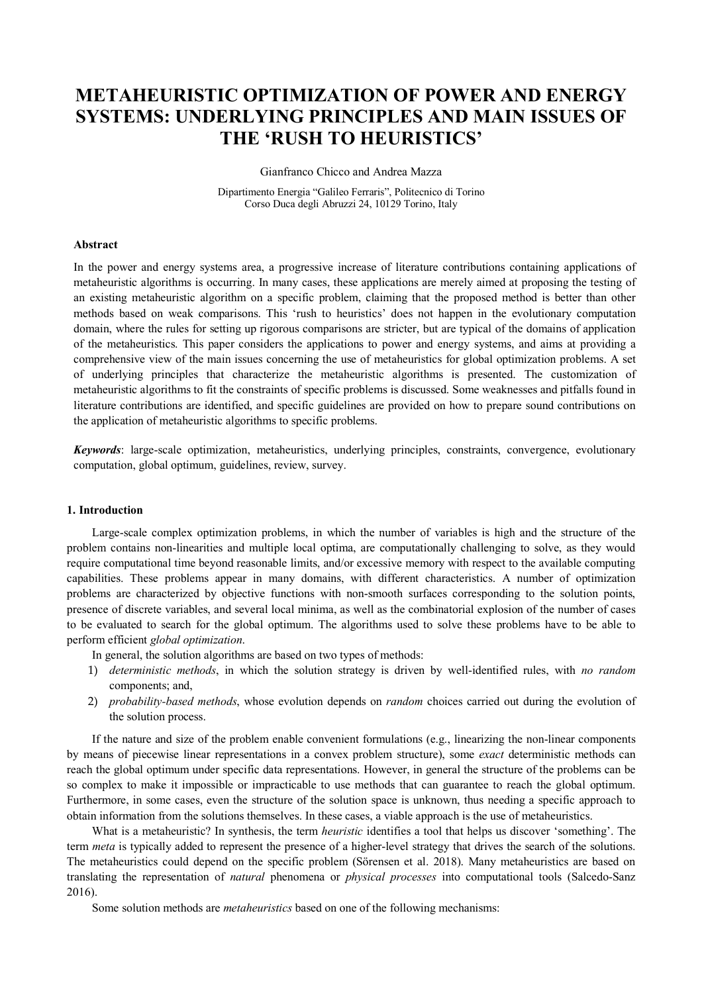# **METAHEURISTIC OPTIMIZATION OF POWER AND ENERGY SYSTEMS: UNDERLYING PRINCIPLES AND MAIN ISSUES OF THE 'RUSH TO HEURISTICS'**

Gianfranco Chicco and Andrea Mazza

Dipartimento Energia "Galileo Ferraris", Politecnico di Torino Corso Duca degli Abruzzi 24, 10129 Torino, Italy

## **Abstract**

In the power and energy systems area, a progressive increase of literature contributions containing applications of metaheuristic algorithms is occurring. In many cases, these applications are merely aimed at proposing the testing of an existing metaheuristic algorithm on a specific problem, claiming that the proposed method is better than other methods based on weak comparisons. This 'rush to heuristics' does not happen in the evolutionary computation domain, where the rules for setting up rigorous comparisons are stricter, but are typical of the domains of application of the metaheuristics. This paper considers the applications to power and energy systems, and aims at providing a comprehensive view of the main issues concerning the use of metaheuristics for global optimization problems. A set of underlying principles that characterize the metaheuristic algorithms is presented. The customization of metaheuristic algorithms to fit the constraints of specific problems is discussed. Some weaknesses and pitfalls found in literature contributions are identified, and specific guidelines are provided on how to prepare sound contributions on the application of metaheuristic algorithms to specific problems.

*Keywords*: large-scale optimization, metaheuristics, underlying principles, constraints, convergence, evolutionary computation, global optimum, guidelines, review, survey.

## **1. Introduction**

Large-scale complex optimization problems, in which the number of variables is high and the structure of the problem contains non-linearities and multiple local optima, are computationally challenging to solve, as they would require computational time beyond reasonable limits, and/or excessive memory with respect to the available computing capabilities. These problems appear in many domains, with different characteristics. A number of optimization problems are characterized by objective functions with non-smooth surfaces corresponding to the solution points, presence of discrete variables, and several local minima, as well as the combinatorial explosion of the number of cases to be evaluated to search for the global optimum. The algorithms used to solve these problems have to be able to perform efficient *global optimization*.

In general, the solution algorithms are based on two types of methods:

- 1) *deterministic methods*, in which the solution strategy is driven by well-identified rules, with *no random* components; and,
- 2) *probability-based methods*, whose evolution depends on *random* choices carried out during the evolution of the solution process.

If the nature and size of the problem enable convenient formulations (e.g., linearizing the non-linear components by means of piecewise linear representations in a convex problem structure), some *exact* deterministic methods can reach the global optimum under specific data representations. However, in general the structure of the problems can be so complex to make it impossible or impracticable to use methods that can guarantee to reach the global optimum. Furthermore, in some cases, even the structure of the solution space is unknown, thus needing a specific approach to obtain information from the solutions themselves. In these cases, a viable approach is the use of metaheuristics.

What is a metaheuristic? In synthesis, the term *heuristic* identifies a tool that helps us discover 'something'. The term *meta* is typically added to represent the presence of a higher-level strategy that drives the search of the solutions. The metaheuristics could depend on the specific problem (Sörensen et al. 2018). Many metaheuristics are based on translating the representation of *natural* phenomena or *physical processes* into computational tools (Salcedo-Sanz 2016).

Some solution methods are *metaheuristics* based on one of the following mechanisms: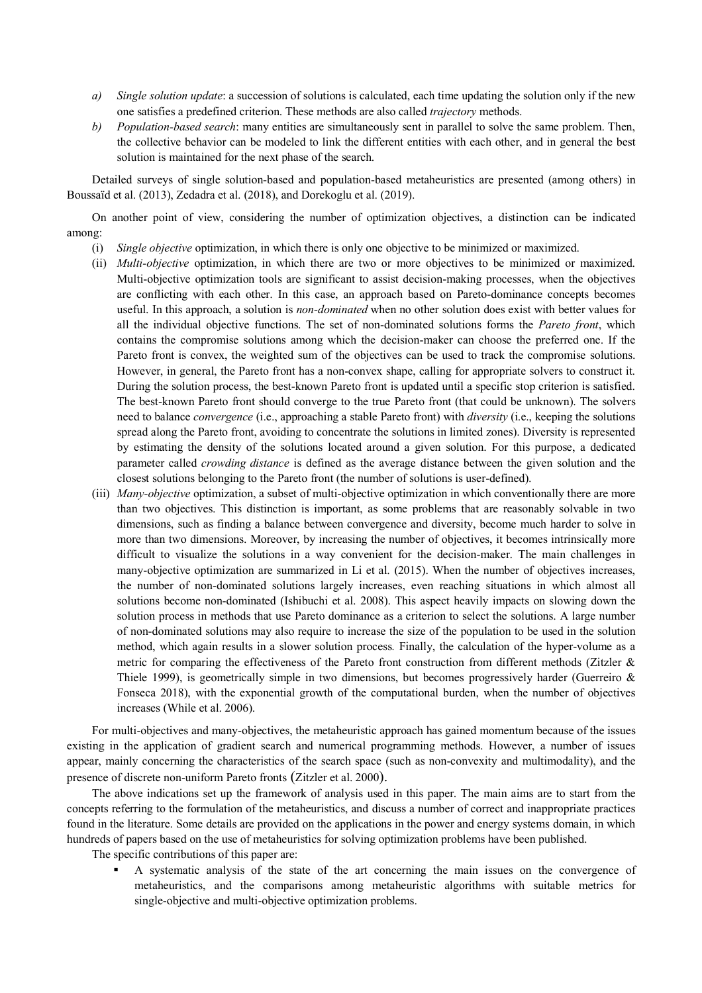- *a) Single solution update*: a succession of solutions is calculated, each time updating the solution only if the new one satisfies a predefined criterion. These methods are also called *trajectory* methods.
- *b) Population-based search*: many entities are simultaneously sent in parallel to solve the same problem. Then, the collective behavior can be modeled to link the different entities with each other, and in general the best solution is maintained for the next phase of the search.

Detailed surveys of single solution-based and population-based metaheuristics are presented (among others) in Boussaïd et al. (2013), Zedadra et al. (2018), and Dorekoglu et al. (2019).

On another point of view, considering the number of optimization objectives, a distinction can be indicated among:

- (i) *Single objective* optimization, in which there is only one objective to be minimized or maximized.
- (ii) *Multi-objective* optimization, in which there are two or more objectives to be minimized or maximized. Multi-objective optimization tools are significant to assist decision-making processes, when the objectives are conflicting with each other. In this case, an approach based on Pareto-dominance concepts becomes useful. In this approach, a solution is *non-dominated* when no other solution does exist with better values for all the individual objective functions. The set of non-dominated solutions forms the *Pareto front*, which contains the compromise solutions among which the decision-maker can choose the preferred one. If the Pareto front is convex, the weighted sum of the objectives can be used to track the compromise solutions. However, in general, the Pareto front has a non-convex shape, calling for appropriate solvers to construct it. During the solution process, the best-known Pareto front is updated until a specific stop criterion is satisfied. The best-known Pareto front should converge to the true Pareto front (that could be unknown). The solvers need to balance *convergence* (i.e., approaching a stable Pareto front) with *diversity* (i.e., keeping the solutions spread along the Pareto front, avoiding to concentrate the solutions in limited zones). Diversity is represented by estimating the density of the solutions located around a given solution. For this purpose, a dedicated parameter called *crowding distance* is defined as the average distance between the given solution and the closest solutions belonging to the Pareto front (the number of solutions is user-defined).
- (iii) *Many-objective* optimization, a subset of multi-objective optimization in which conventionally there are more than two objectives. This distinction is important, as some problems that are reasonably solvable in two dimensions, such as finding a balance between convergence and diversity, become much harder to solve in more than two dimensions. Moreover, by increasing the number of objectives, it becomes intrinsically more difficult to visualize the solutions in a way convenient for the decision-maker. The main challenges in many-objective optimization are summarized in Li et al. (2015). When the number of objectives increases, the number of non-dominated solutions largely increases, even reaching situations in which almost all solutions become non-dominated (Ishibuchi et al. 2008). This aspect heavily impacts on slowing down the solution process in methods that use Pareto dominance as a criterion to select the solutions. A large number of non-dominated solutions may also require to increase the size of the population to be used in the solution method, which again results in a slower solution process*.* Finally, the calculation of the hyper-volume as a metric for comparing the effectiveness of the Pareto front construction from different methods (Zitzler & Thiele 1999), is geometrically simple in two dimensions, but becomes progressively harder (Guerreiro  $\&$ Fonseca 2018), with the exponential growth of the computational burden, when the number of objectives increases (While et al. 2006).

For multi-objectives and many-objectives, the metaheuristic approach has gained momentum because of the issues existing in the application of gradient search and numerical programming methods. However, a number of issues appear, mainly concerning the characteristics of the search space (such as non-convexity and multimodality), and the presence of discrete non-uniform Pareto fronts (Zitzler et al. 2000).

The above indications set up the framework of analysis used in this paper. The main aims are to start from the concepts referring to the formulation of the metaheuristics, and discuss a number of correct and inappropriate practices found in the literature. Some details are provided on the applications in the power and energy systems domain, in which hundreds of papers based on the use of metaheuristics for solving optimization problems have been published.

The specific contributions of this paper are:

§ A systematic analysis of the state of the art concerning the main issues on the convergence of metaheuristics, and the comparisons among metaheuristic algorithms with suitable metrics for single-objective and multi-objective optimization problems.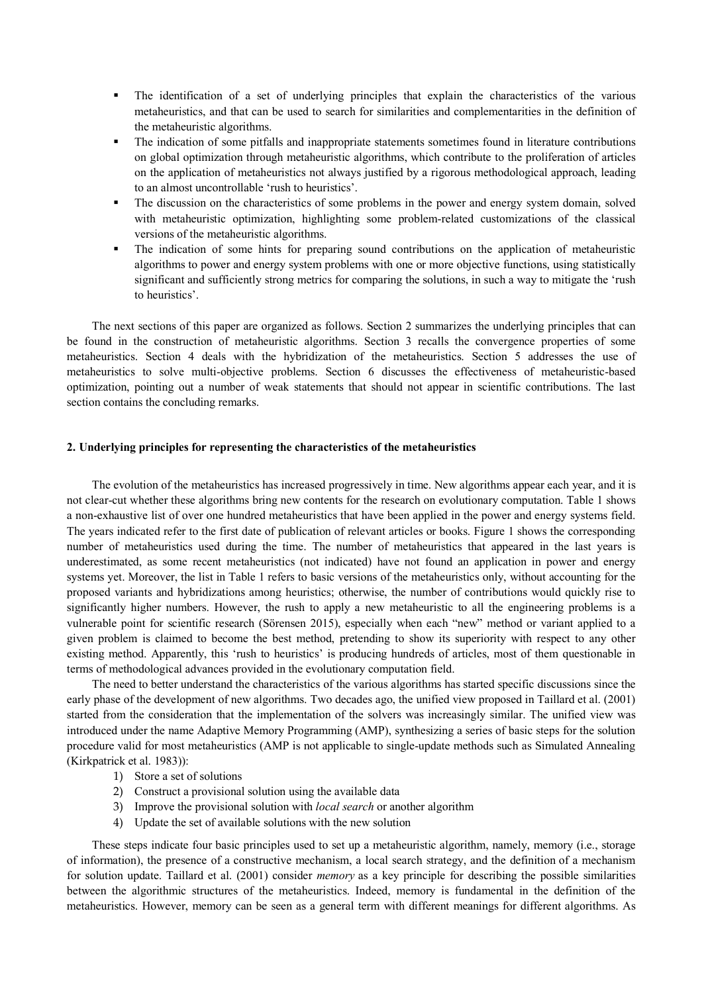- The identification of a set of underlying principles that explain the characteristics of the various metaheuristics, and that can be used to search for similarities and complementarities in the definition of the metaheuristic algorithms.
- The indication of some pitfalls and inappropriate statements sometimes found in literature contributions on global optimization through metaheuristic algorithms, which contribute to the proliferation of articles on the application of metaheuristics not always justified by a rigorous methodological approach, leading to an almost uncontrollable 'rush to heuristics'.
- The discussion on the characteristics of some problems in the power and energy system domain, solved with metaheuristic optimization, highlighting some problem-related customizations of the classical versions of the metaheuristic algorithms.
- The indication of some hints for preparing sound contributions on the application of metaheuristic algorithms to power and energy system problems with one or more objective functions, using statistically significant and sufficiently strong metrics for comparing the solutions, in such a way to mitigate the 'rush to heuristics'.

The next sections of this paper are organized as follows. Section 2 summarizes the underlying principles that can be found in the construction of metaheuristic algorithms. Section 3 recalls the convergence properties of some metaheuristics. Section 4 deals with the hybridization of the metaheuristics. Section 5 addresses the use of metaheuristics to solve multi-objective problems. Section 6 discusses the effectiveness of metaheuristic-based optimization, pointing out a number of weak statements that should not appear in scientific contributions. The last section contains the concluding remarks.

# **2. Underlying principles for representing the characteristics of the metaheuristics**

The evolution of the metaheuristics has increased progressively in time. New algorithms appear each year, and it is not clear-cut whether these algorithms bring new contents for the research on evolutionary computation. Table 1 shows a non-exhaustive list of over one hundred metaheuristics that have been applied in the power and energy systems field. The years indicated refer to the first date of publication of relevant articles or books. Figure 1 shows the corresponding number of metaheuristics used during the time. The number of metaheuristics that appeared in the last years is underestimated, as some recent metaheuristics (not indicated) have not found an application in power and energy systems yet. Moreover, the list in Table 1 refers to basic versions of the metaheuristics only, without accounting for the proposed variants and hybridizations among heuristics; otherwise, the number of contributions would quickly rise to significantly higher numbers. However, the rush to apply a new metaheuristic to all the engineering problems is a vulnerable point for scientific research (Sörensen 2015), especially when each "new" method or variant applied to a given problem is claimed to become the best method, pretending to show its superiority with respect to any other existing method. Apparently, this 'rush to heuristics' is producing hundreds of articles, most of them questionable in terms of methodological advances provided in the evolutionary computation field.

The need to better understand the characteristics of the various algorithms has started specific discussions since the early phase of the development of new algorithms. Two decades ago, the unified view proposed in Taillard et al. (2001) started from the consideration that the implementation of the solvers was increasingly similar. The unified view was introduced under the name Adaptive Memory Programming (AMP), synthesizing a series of basic steps for the solution procedure valid for most metaheuristics (AMP is not applicable to single-update methods such as Simulated Annealing (Kirkpatrick et al. 1983)):

- 1) Store a set of solutions
- 2) Construct a provisional solution using the available data
- 3) Improve the provisional solution with *local search* or another algorithm
- 4) Update the set of available solutions with the new solution

These steps indicate four basic principles used to set up a metaheuristic algorithm, namely, memory (i.e., storage of information), the presence of a constructive mechanism, a local search strategy, and the definition of a mechanism for solution update. Taillard et al. (2001) consider *memory* as a key principle for describing the possible similarities between the algorithmic structures of the metaheuristics. Indeed, memory is fundamental in the definition of the metaheuristics. However, memory can be seen as a general term with different meanings for different algorithms. As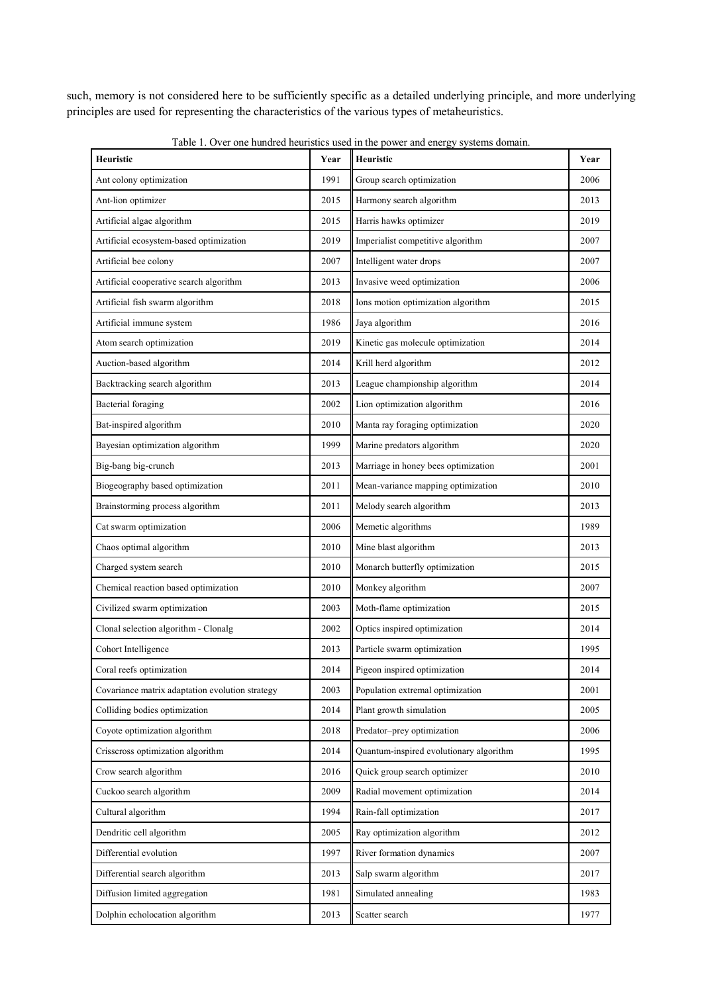such, memory is not considered here to be sufficiently specific as a detailed underlying principle, and more underlying principles are used for representing the characteristics of the various types of metaheuristics.

| Heuristic                                       | Year | Heuristic                               | Year |
|-------------------------------------------------|------|-----------------------------------------|------|
| Ant colony optimization                         | 1991 | Group search optimization               | 2006 |
| Ant-lion optimizer                              | 2015 | Harmony search algorithm                | 2013 |
| Artificial algae algorithm                      | 2015 | Harris hawks optimizer                  | 2019 |
| Artificial ecosystem-based optimization         | 2019 | Imperialist competitive algorithm       | 2007 |
| Artificial bee colony                           | 2007 | Intelligent water drops                 | 2007 |
| Artificial cooperative search algorithm         | 2013 | Invasive weed optimization              | 2006 |
| Artificial fish swarm algorithm                 | 2018 | Ions motion optimization algorithm      | 2015 |
| Artificial immune system                        | 1986 | Jaya algorithm                          | 2016 |
| Atom search optimization                        | 2019 | Kinetic gas molecule optimization       | 2014 |
| Auction-based algorithm                         | 2014 | Krill herd algorithm                    | 2012 |
| Backtracking search algorithm                   | 2013 | League championship algorithm           | 2014 |
| Bacterial foraging                              | 2002 | Lion optimization algorithm             | 2016 |
| Bat-inspired algorithm                          | 2010 | Manta ray foraging optimization         | 2020 |
| Bayesian optimization algorithm                 | 1999 | Marine predators algorithm              | 2020 |
| Big-bang big-crunch                             | 2013 | Marriage in honey bees optimization     | 2001 |
| Biogeography based optimization                 | 2011 | Mean-variance mapping optimization      | 2010 |
| Brainstorming process algorithm                 | 2011 | Melody search algorithm                 | 2013 |
| Cat swarm optimization                          | 2006 | Memetic algorithms                      | 1989 |
| Chaos optimal algorithm                         | 2010 | Mine blast algorithm                    | 2013 |
| Charged system search                           | 2010 | Monarch butterfly optimization          | 2015 |
| Chemical reaction based optimization            | 2010 | Monkey algorithm                        | 2007 |
| Civilized swarm optimization                    | 2003 | Moth-flame optimization                 | 2015 |
| Clonal selection algorithm - Clonalg            | 2002 | Optics inspired optimization            | 2014 |
| Cohort Intelligence                             | 2013 | Particle swarm optimization             | 1995 |
| Coral reefs optimization                        | 2014 | Pigeon inspired optimization            | 2014 |
| Covariance matrix adaptation evolution strategy | 2003 | Population extremal optimization        | 2001 |
| Colliding bodies optimization                   | 2014 | Plant growth simulation                 | 2005 |
| Coyote optimization algorithm                   | 2018 | Predator-prey optimization              | 2006 |
| Crisscross optimization algorithm               | 2014 | Quantum-inspired evolutionary algorithm | 1995 |
| Crow search algorithm                           | 2016 | Quick group search optimizer            | 2010 |
| Cuckoo search algorithm                         | 2009 | Radial movement optimization            | 2014 |
| Cultural algorithm                              | 1994 | Rain-fall optimization                  | 2017 |
| Dendritic cell algorithm                        | 2005 | Ray optimization algorithm              | 2012 |
| Differential evolution                          | 1997 | River formation dynamics                | 2007 |
| Differential search algorithm                   | 2013 | Salp swarm algorithm                    | 2017 |
| Diffusion limited aggregation                   | 1981 | Simulated annealing                     | 1983 |
| Dolphin echolocation algorithm                  | 2013 | Scatter search                          | 1977 |

Table 1. Over one hundred heuristics used in the power and energy systems domain.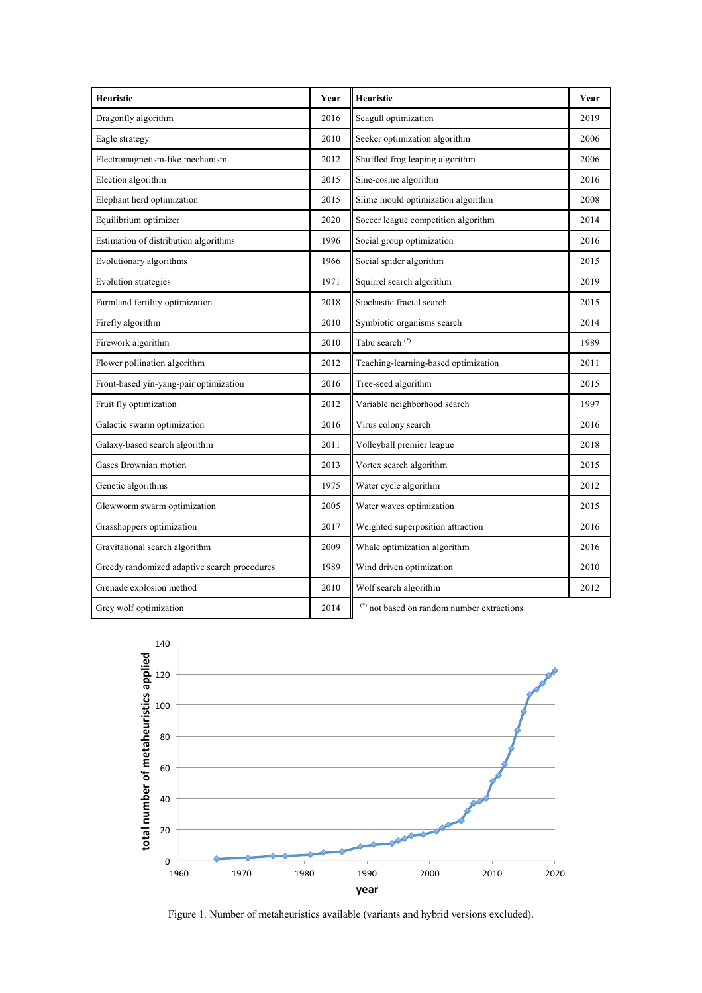| Heuristic                                    | Year | Heuristic                                             | Year |
|----------------------------------------------|------|-------------------------------------------------------|------|
| Dragonfly algorithm                          | 2016 | Seagull optimization                                  | 2019 |
| Eagle strategy                               | 2010 | Seeker optimization algorithm                         | 2006 |
| Electromagnetism-like mechanism              | 2012 | Shuffled frog leaping algorithm                       | 2006 |
| Election algorithm                           | 2015 | Sine-cosine algorithm                                 | 2016 |
| Elephant herd optimization                   | 2015 | Slime mould optimization algorithm                    | 2008 |
| Equilibrium optimizer                        | 2020 | Soccer league competition algorithm                   | 2014 |
| Estimation of distribution algorithms        | 1996 | Social group optimization                             | 2016 |
| Evolutionary algorithms                      | 1966 | Social spider algorithm                               | 2015 |
| Evolution strategies                         | 1971 | Squirrel search algorithm                             | 2019 |
| Farmland fertility optimization              | 2018 | Stochastic fractal search                             | 2015 |
| Firefly algorithm                            | 2010 | Symbiotic organisms search                            | 2014 |
| Firework algorithm                           | 2010 | Tabu search <sup>(*)</sup>                            | 1989 |
| Flower pollination algorithm                 | 2012 | Teaching-learning-based optimization                  | 2011 |
| Front-based yin-yang-pair optimization       | 2016 | Tree-seed algorithm                                   | 2015 |
| Fruit fly optimization                       | 2012 | Variable neighborhood search                          | 1997 |
| Galactic swarm optimization                  | 2016 | Virus colony search                                   | 2016 |
| Galaxy-based search algorithm                | 2011 | Volleyball premier league                             | 2018 |
| Gases Brownian motion                        | 2013 | Vortex search algorithm                               | 2015 |
| Genetic algorithms                           | 1975 | Water cycle algorithm                                 | 2012 |
| Glowworm swarm optimization                  | 2005 | Water waves optimization                              | 2015 |
| Grasshoppers optimization                    | 2017 | Weighted superposition attraction                     | 2016 |
| Gravitational search algorithm               | 2009 | Whale optimization algorithm                          | 2016 |
| Greedy randomized adaptive search procedures | 1989 | Wind driven optimization                              | 2010 |
| Grenade explosion method                     | 2010 | Wolf search algorithm                                 | 2012 |
| Grey wolf optimization                       | 2014 | <sup>(*)</sup> not based on random number extractions |      |



Figure 1. Number of metaheuristics available (variants and hybrid versions excluded).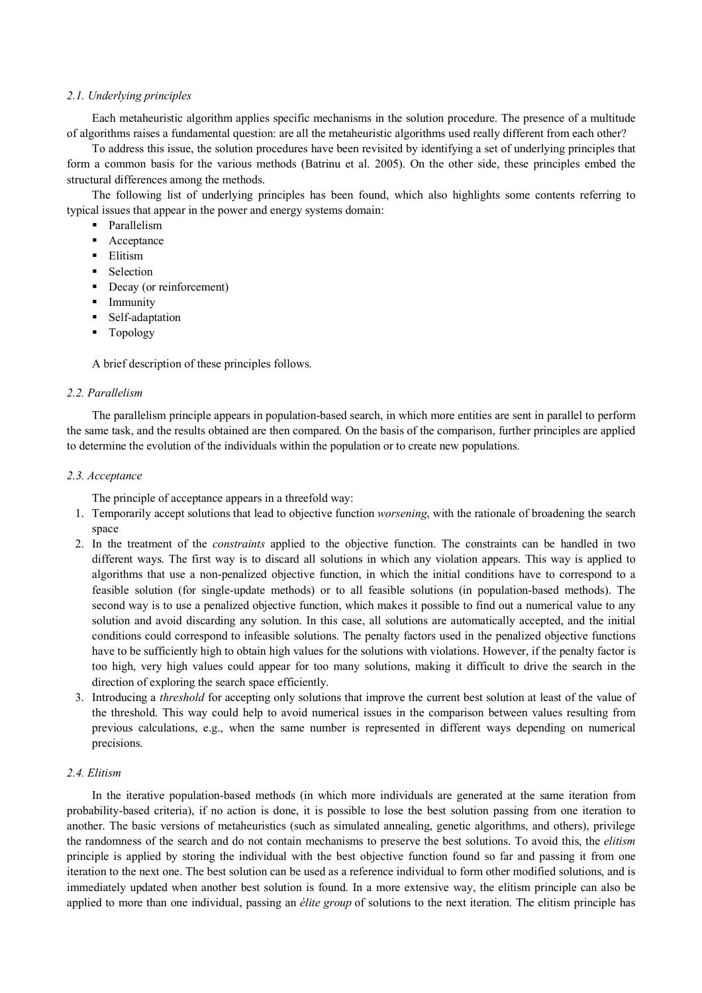## *2.1. Underlying principles*

Each metaheuristic algorithm applies specific mechanisms in the solution procedure. The presence of a multitude of algorithms raises a fundamental question: are all the metaheuristic algorithms used really different from each other?

To address this issue, the solution procedures have been revisited by identifying a set of underlying principles that form a common basis for the various methods (Batrinu et al. 2005). On the other side, these principles embed the structural differences among the methods.

The following list of underlying principles has been found, which also highlights some contents referring to typical issues that appear in the power and energy systems domain:

- § Parallelism
- Acceptance
- § Elitism
- Selection
- Decay (or reinforcement)
- § Immunity
- Self-adaptation
- Topology

A brief description of these principles follows.

## *2.2. Parallelism*

The parallelism principle appears in population-based search, in which more entities are sent in parallel to perform the same task, and the results obtained are then compared. On the basis of the comparison, further principles are applied to determine the evolution of the individuals within the population or to create new populations.

## *2.3. Acceptance*

The principle of acceptance appears in a threefold way:

- 1. Temporarily accept solutions that lead to objective function *worsening*, with the rationale of broadening the search space
- 2. In the treatment of the *constraints* applied to the objective function. The constraints can be handled in two different ways. The first way is to discard all solutions in which any violation appears. This way is applied to algorithms that use a non-penalized objective function, in which the initial conditions have to correspond to a feasible solution (for single-update methods) or to all feasible solutions (in population-based methods). The second way is to use a penalized objective function, which makes it possible to find out a numerical value to any solution and avoid discarding any solution. In this case, all solutions are automatically accepted, and the initial conditions could correspond to infeasible solutions. The penalty factors used in the penalized objective functions have to be sufficiently high to obtain high values for the solutions with violations. However, if the penalty factor is too high, very high values could appear for too many solutions, making it difficult to drive the search in the direction of exploring the search space efficiently.
- 3. Introducing a *threshold* for accepting only solutions that improve the current best solution at least of the value of the threshold. This way could help to avoid numerical issues in the comparison between values resulting from previous calculations, e.g., when the same number is represented in different ways depending on numerical precisions.

# *2.4. Elitism*

In the iterative population-based methods (in which more individuals are generated at the same iteration from probability-based criteria), if no action is done, it is possible to lose the best solution passing from one iteration to another. The basic versions of metaheuristics (such as simulated annealing, genetic algorithms, and others), privilege the randomness of the search and do not contain mechanisms to preserve the best solutions. To avoid this, the *elitism*  principle is applied by storing the individual with the best objective function found so far and passing it from one iteration to the next one. The best solution can be used as a reference individual to form other modified solutions, and is immediately updated when another best solution is found. In a more extensive way, the elitism principle can also be applied to more than one individual, passing an *élite group* of solutions to the next iteration. The elitism principle has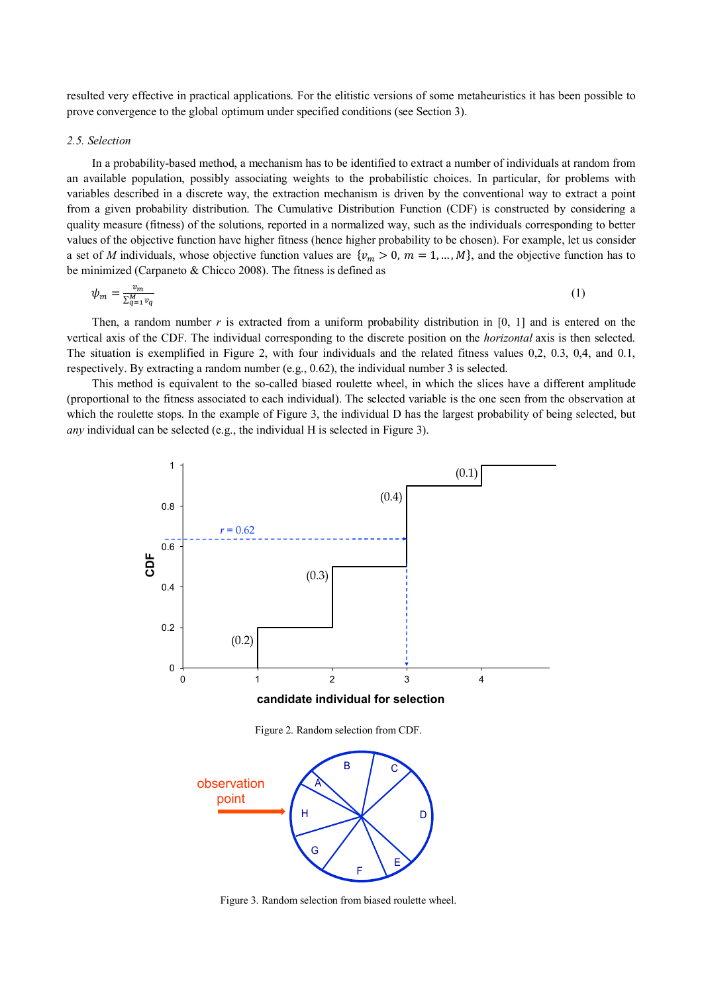resulted very effective in practical applications. For the elitistic versions of some metaheuristics it has been possible to prove convergence to the global optimum under specified conditions (see Section 3).

#### *2.5. Selection*

In a probability-based method, a mechanism has to be identified to extract a number of individuals at random from an available population, possibly associating weights to the probabilistic choices. In particular, for problems with variables described in a discrete way, the extraction mechanism is driven by the conventional way to extract a point from a given probability distribution. The Cumulative Distribution Function (CDF) is constructed by considering a quality measure (fitness) of the solutions, reported in a normalized way, such as the individuals corresponding to better values of the objective function have higher fitness (hence higher probability to be chosen). For example, let us consider a set of *M* individuals, whose objective function values are  $\{v_m > 0, m = 1, ..., M\}$ , and the objective function has to be minimized (Carpaneto & Chicco 2008). The fitness is defined as

$$
\psi_m = \frac{\nu_m}{\sum_{q=1}^M \nu_q} \tag{1}
$$

Then, a random number  $r$  is extracted from a uniform probability distribution in [0, 1] and is entered on the vertical axis of the CDF. The individual corresponding to the discrete position on the *horizontal* axis is then selected. The situation is exemplified in Figure 2, with four individuals and the related fitness values 0,2, 0.3, 0,4, and 0.1, respectively. By extracting a random number (e.g., 0.62), the individual number 3 is selected.

This method is equivalent to the so-called biased roulette wheel, in which the slices have a different amplitude (proportional to the fitness associated to each individual). The selected variable is the one seen from the observation at which the roulette stops. In the example of Figure 3, the individual D has the largest probability of being selected, but *any* individual can be selected (e.g., the individual H is selected in Figure 3).



Figure 3. Random selection from biased roulette wheel.

G

F

E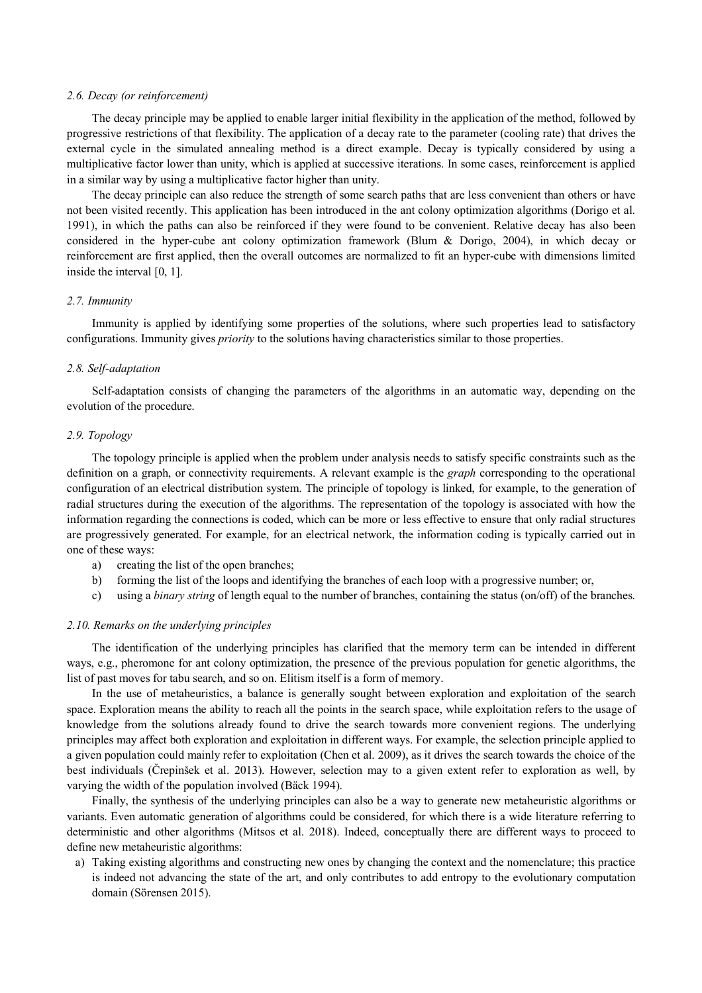## *2.6. Decay (or reinforcement)*

The decay principle may be applied to enable larger initial flexibility in the application of the method, followed by progressive restrictions of that flexibility. The application of a decay rate to the parameter (cooling rate) that drives the external cycle in the simulated annealing method is a direct example. Decay is typically considered by using a multiplicative factor lower than unity, which is applied at successive iterations. In some cases, reinforcement is applied in a similar way by using a multiplicative factor higher than unity.

The decay principle can also reduce the strength of some search paths that are less convenient than others or have not been visited recently. This application has been introduced in the ant colony optimization algorithms (Dorigo et al. 1991), in which the paths can also be reinforced if they were found to be convenient. Relative decay has also been considered in the hyper-cube ant colony optimization framework (Blum & Dorigo, 2004), in which decay or reinforcement are first applied, then the overall outcomes are normalized to fit an hyper-cube with dimensions limited inside the interval [0, 1].

## *2.7. Immunity*

Immunity is applied by identifying some properties of the solutions, where such properties lead to satisfactory configurations. Immunity gives *priority* to the solutions having characteristics similar to those properties.

## *2.8. Self-adaptation*

Self-adaptation consists of changing the parameters of the algorithms in an automatic way, depending on the evolution of the procedure.

# *2.9. Topology*

The topology principle is applied when the problem under analysis needs to satisfy specific constraints such as the definition on a graph, or connectivity requirements. A relevant example is the *graph* corresponding to the operational configuration of an electrical distribution system. The principle of topology is linked, for example, to the generation of radial structures during the execution of the algorithms. The representation of the topology is associated with how the information regarding the connections is coded, which can be more or less effective to ensure that only radial structures are progressively generated. For example, for an electrical network, the information coding is typically carried out in one of these ways:

- a) creating the list of the open branches;
- b) forming the list of the loops and identifying the branches of each loop with a progressive number; or,
- c) using a *binary string* of length equal to the number of branches, containing the status (on/off) of the branches.

# *2.10. Remarks on the underlying principles*

The identification of the underlying principles has clarified that the memory term can be intended in different ways, e.g., pheromone for ant colony optimization, the presence of the previous population for genetic algorithms, the list of past moves for tabu search, and so on. Elitism itself is a form of memory.

In the use of metaheuristics, a balance is generally sought between exploration and exploitation of the search space. Exploration means the ability to reach all the points in the search space, while exploitation refers to the usage of knowledge from the solutions already found to drive the search towards more convenient regions. The underlying principles may affect both exploration and exploitation in different ways. For example, the selection principle applied to a given population could mainly refer to exploitation (Chen et al. 2009), as it drives the search towards the choice of the best individuals (Črepinšek et al. 2013). However, selection may to a given extent refer to exploration as well, by varying the width of the population involved (Bäck 1994).

Finally, the synthesis of the underlying principles can also be a way to generate new metaheuristic algorithms or variants. Even automatic generation of algorithms could be considered, for which there is a wide literature referring to deterministic and other algorithms (Mitsos et al. 2018). Indeed, conceptually there are different ways to proceed to define new metaheuristic algorithms:

a) Taking existing algorithms and constructing new ones by changing the context and the nomenclature; this practice is indeed not advancing the state of the art, and only contributes to add entropy to the evolutionary computation domain (Sörensen 2015).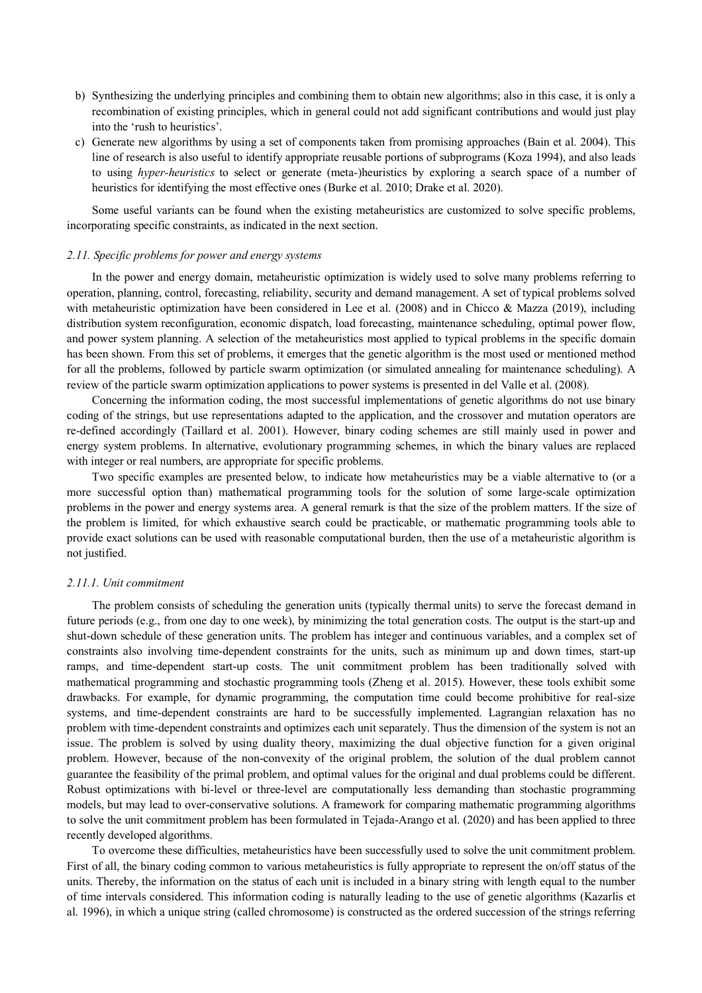- b) Synthesizing the underlying principles and combining them to obtain new algorithms; also in this case, it is only a recombination of existing principles, which in general could not add significant contributions and would just play into the 'rush to heuristics'.
- c) Generate new algorithms by using a set of components taken from promising approaches (Bain et al. 2004). This line of research is also useful to identify appropriate reusable portions of subprograms (Koza 1994), and also leads to using *hyper-heuristics* to select or generate (meta-)heuristics by exploring a search space of a number of heuristics for identifying the most effective ones (Burke et al. 2010; Drake et al. 2020).

Some useful variants can be found when the existing metaheuristics are customized to solve specific problems, incorporating specific constraints, as indicated in the next section.

## *2.11. Specific problems for power and energy systems*

In the power and energy domain, metaheuristic optimization is widely used to solve many problems referring to operation, planning, control, forecasting, reliability, security and demand management. A set of typical problems solved with metaheuristic optimization have been considered in Lee et al. (2008) and in Chicco & Mazza (2019), including distribution system reconfiguration, economic dispatch, load forecasting, maintenance scheduling, optimal power flow, and power system planning. A selection of the metaheuristics most applied to typical problems in the specific domain has been shown. From this set of problems, it emerges that the genetic algorithm is the most used or mentioned method for all the problems, followed by particle swarm optimization (or simulated annealing for maintenance scheduling). A review of the particle swarm optimization applications to power systems is presented in del Valle et al. (2008).

Concerning the information coding, the most successful implementations of genetic algorithms do not use binary coding of the strings, but use representations adapted to the application, and the crossover and mutation operators are re-defined accordingly (Taillard et al. 2001). However, binary coding schemes are still mainly used in power and energy system problems. In alternative, evolutionary programming schemes, in which the binary values are replaced with integer or real numbers, are appropriate for specific problems.

Two specific examples are presented below, to indicate how metaheuristics may be a viable alternative to (or a more successful option than) mathematical programming tools for the solution of some large-scale optimization problems in the power and energy systems area. A general remark is that the size of the problem matters. If the size of the problem is limited, for which exhaustive search could be practicable, or mathematic programming tools able to provide exact solutions can be used with reasonable computational burden, then the use of a metaheuristic algorithm is not justified.

#### *2.11.1. Unit commitment*

The problem consists of scheduling the generation units (typically thermal units) to serve the forecast demand in future periods (e.g., from one day to one week), by minimizing the total generation costs. The output is the start-up and shut-down schedule of these generation units. The problem has integer and continuous variables, and a complex set of constraints also involving time-dependent constraints for the units, such as minimum up and down times, start-up ramps, and time-dependent start-up costs. The unit commitment problem has been traditionally solved with mathematical programming and stochastic programming tools (Zheng et al. 2015). However, these tools exhibit some drawbacks. For example, for dynamic programming, the computation time could become prohibitive for real-size systems, and time-dependent constraints are hard to be successfully implemented. Lagrangian relaxation has no problem with time-dependent constraints and optimizes each unit separately. Thus the dimension of the system is not an issue. The problem is solved by using duality theory, maximizing the dual objective function for a given original problem. However, because of the non-convexity of the original problem, the solution of the dual problem cannot guarantee the feasibility of the primal problem, and optimal values for the original and dual problems could be different. Robust optimizations with bi-level or three-level are computationally less demanding than stochastic programming models, but may lead to over-conservative solutions. A framework for comparing mathematic programming algorithms to solve the unit commitment problem has been formulated in Tejada-Arango et al. (2020) and has been applied to three recently developed algorithms.

To overcome these difficulties, metaheuristics have been successfully used to solve the unit commitment problem. First of all, the binary coding common to various metaheuristics is fully appropriate to represent the on/off status of the units. Thereby, the information on the status of each unit is included in a binary string with length equal to the number of time intervals considered. This information coding is naturally leading to the use of genetic algorithms (Kazarlis et al. 1996), in which a unique string (called chromosome) is constructed as the ordered succession of the strings referring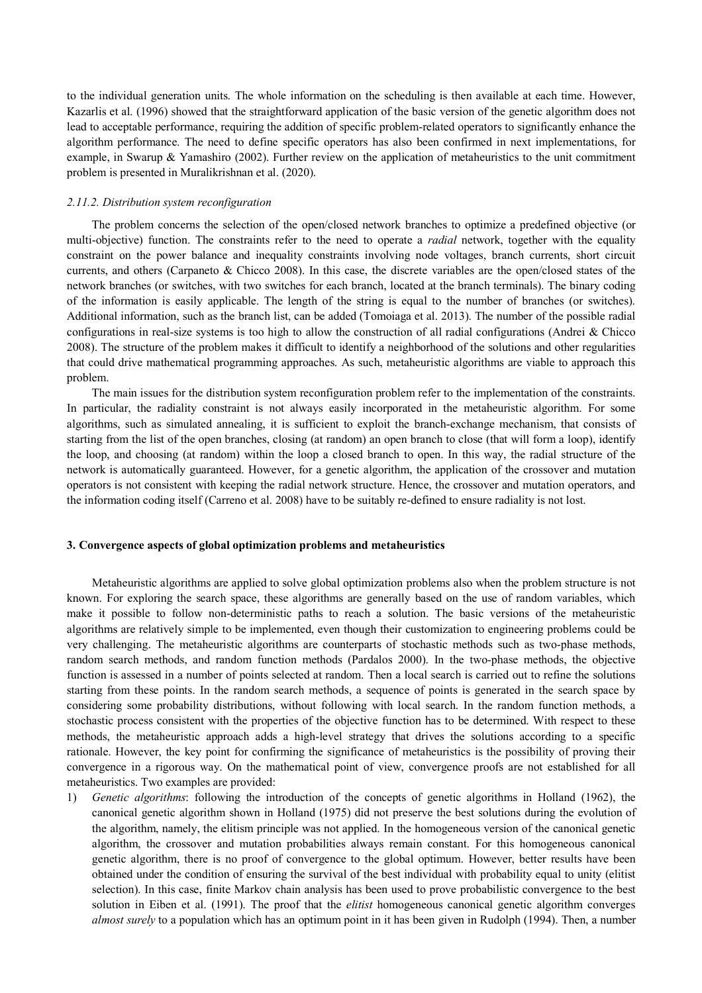to the individual generation units. The whole information on the scheduling is then available at each time. However, Kazarlis et al. (1996) showed that the straightforward application of the basic version of the genetic algorithm does not lead to acceptable performance, requiring the addition of specific problem-related operators to significantly enhance the algorithm performance. The need to define specific operators has also been confirmed in next implementations, for example, in Swarup & Yamashiro (2002). Further review on the application of metaheuristics to the unit commitment problem is presented in Muralikrishnan et al. (2020).

## *2.11.2. Distribution system reconfiguration*

The problem concerns the selection of the open/closed network branches to optimize a predefined objective (or multi-objective) function. The constraints refer to the need to operate a *radial* network, together with the equality constraint on the power balance and inequality constraints involving node voltages, branch currents, short circuit currents, and others (Carpaneto & Chicco 2008). In this case, the discrete variables are the open/closed states of the network branches (or switches, with two switches for each branch, located at the branch terminals). The binary coding of the information is easily applicable. The length of the string is equal to the number of branches (or switches). Additional information, such as the branch list, can be added (Tomoiaga et al. 2013). The number of the possible radial configurations in real-size systems is too high to allow the construction of all radial configurations (Andrei  $\&$  Chicco 2008). The structure of the problem makes it difficult to identify a neighborhood of the solutions and other regularities that could drive mathematical programming approaches. As such, metaheuristic algorithms are viable to approach this problem.

The main issues for the distribution system reconfiguration problem refer to the implementation of the constraints. In particular, the radiality constraint is not always easily incorporated in the metaheuristic algorithm. For some algorithms, such as simulated annealing, it is sufficient to exploit the branch-exchange mechanism, that consists of starting from the list of the open branches, closing (at random) an open branch to close (that will form a loop), identify the loop, and choosing (at random) within the loop a closed branch to open. In this way, the radial structure of the network is automatically guaranteed. However, for a genetic algorithm, the application of the crossover and mutation operators is not consistent with keeping the radial network structure. Hence, the crossover and mutation operators, and the information coding itself (Carreno et al. 2008) have to be suitably re-defined to ensure radiality is not lost.

## **3. Convergence aspects of global optimization problems and metaheuristics**

Metaheuristic algorithms are applied to solve global optimization problems also when the problem structure is not known. For exploring the search space, these algorithms are generally based on the use of random variables, which make it possible to follow non-deterministic paths to reach a solution. The basic versions of the metaheuristic algorithms are relatively simple to be implemented, even though their customization to engineering problems could be very challenging. The metaheuristic algorithms are counterparts of stochastic methods such as two-phase methods, random search methods, and random function methods (Pardalos 2000). In the two-phase methods, the objective function is assessed in a number of points selected at random. Then a local search is carried out to refine the solutions starting from these points. In the random search methods, a sequence of points is generated in the search space by considering some probability distributions, without following with local search. In the random function methods, a stochastic process consistent with the properties of the objective function has to be determined. With respect to these methods, the metaheuristic approach adds a high-level strategy that drives the solutions according to a specific rationale. However, the key point for confirming the significance of metaheuristics is the possibility of proving their convergence in a rigorous way. On the mathematical point of view, convergence proofs are not established for all metaheuristics. Two examples are provided:

1) *Genetic algorithms*: following the introduction of the concepts of genetic algorithms in Holland (1962), the canonical genetic algorithm shown in Holland (1975) did not preserve the best solutions during the evolution of the algorithm, namely, the elitism principle was not applied. In the homogeneous version of the canonical genetic algorithm, the crossover and mutation probabilities always remain constant. For this homogeneous canonical genetic algorithm, there is no proof of convergence to the global optimum. However, better results have been obtained under the condition of ensuring the survival of the best individual with probability equal to unity (elitist selection). In this case, finite Markov chain analysis has been used to prove probabilistic convergence to the best solution in Eiben et al. (1991). The proof that the *elitist* homogeneous canonical genetic algorithm converges *almost surely* to a population which has an optimum point in it has been given in Rudolph (1994). Then, a number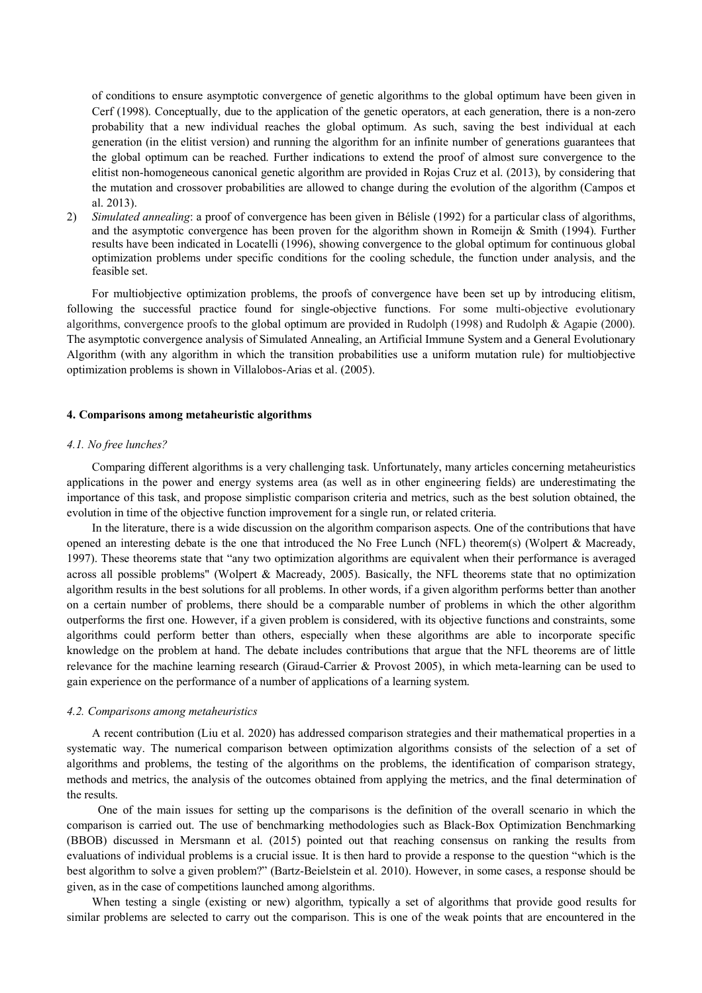of conditions to ensure asymptotic convergence of genetic algorithms to the global optimum have been given in Cerf (1998). Conceptually, due to the application of the genetic operators, at each generation, there is a non-zero probability that a new individual reaches the global optimum. As such, saving the best individual at each generation (in the elitist version) and running the algorithm for an infinite number of generations guarantees that the global optimum can be reached. Further indications to extend the proof of almost sure convergence to the elitist non-homogeneous canonical genetic algorithm are provided in Rojas Cruz et al. (2013), by considering that the mutation and crossover probabilities are allowed to change during the evolution of the algorithm (Campos et al. 2013).

2) *Simulated annealing*: a proof of convergence has been given in Bélisle (1992) for a particular class of algorithms, and the asymptotic convergence has been proven for the algorithm shown in Romeijn & Smith (1994). Further results have been indicated in Locatelli (1996), showing convergence to the global optimum for continuous global optimization problems under specific conditions for the cooling schedule, the function under analysis, and the feasible set.

For multiobjective optimization problems, the proofs of convergence have been set up by introducing elitism, following the successful practice found for single-objective functions. For some multi-objective evolutionary algorithms, convergence proofs to the global optimum are provided in Rudolph (1998) and Rudolph & Agapie (2000). The asymptotic convergence analysis of Simulated Annealing, an Artificial Immune System and a General Evolutionary Algorithm (with any algorithm in which the transition probabilities use a uniform mutation rule) for multiobjective optimization problems is shown in Villalobos-Arias et al. (2005).

## **4. Comparisons among metaheuristic algorithms**

## *4.1. No free lunches?*

Comparing different algorithms is a very challenging task. Unfortunately, many articles concerning metaheuristics applications in the power and energy systems area (as well as in other engineering fields) are underestimating the importance of this task, and propose simplistic comparison criteria and metrics, such as the best solution obtained, the evolution in time of the objective function improvement for a single run, or related criteria.

In the literature, there is a wide discussion on the algorithm comparison aspects. One of the contributions that have opened an interesting debate is the one that introduced the No Free Lunch (NFL) theorem(s) (Wolpert & Macready, 1997). These theorems state that "any two optimization algorithms are equivalent when their performance is averaged across all possible problems" (Wolpert & Macready, 2005). Basically, the NFL theorems state that no optimization algorithm results in the best solutions for all problems. In other words, if a given algorithm performs better than another on a certain number of problems, there should be a comparable number of problems in which the other algorithm outperforms the first one. However, if a given problem is considered, with its objective functions and constraints, some algorithms could perform better than others, especially when these algorithms are able to incorporate specific knowledge on the problem at hand. The debate includes contributions that argue that the NFL theorems are of little relevance for the machine learning research (Giraud-Carrier & Provost 2005), in which meta-learning can be used to gain experience on the performance of a number of applications of a learning system.

#### *4.2. Comparisons among metaheuristics*

A recent contribution (Liu et al. 2020) has addressed comparison strategies and their mathematical properties in a systematic way. The numerical comparison between optimization algorithms consists of the selection of a set of algorithms and problems, the testing of the algorithms on the problems, the identification of comparison strategy, methods and metrics, the analysis of the outcomes obtained from applying the metrics, and the final determination of the results.

One of the main issues for setting up the comparisons is the definition of the overall scenario in which the comparison is carried out. The use of benchmarking methodologies such as Black-Box Optimization Benchmarking (BBOB) discussed in Mersmann et al. (2015) pointed out that reaching consensus on ranking the results from evaluations of individual problems is a crucial issue. It is then hard to provide a response to the question "which is the best algorithm to solve a given problem?" (Bartz-Beielstein et al. 2010). However, in some cases, a response should be given, as in the case of competitions launched among algorithms.

When testing a single (existing or new) algorithm, typically a set of algorithms that provide good results for similar problems are selected to carry out the comparison. This is one of the weak points that are encountered in the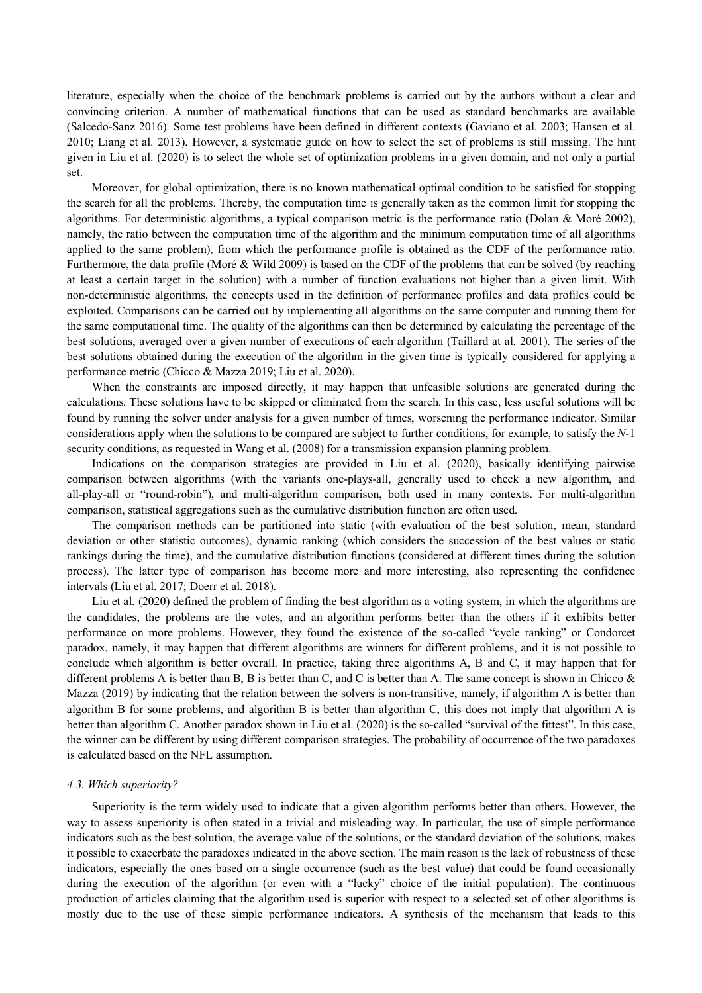literature, especially when the choice of the benchmark problems is carried out by the authors without a clear and convincing criterion. A number of mathematical functions that can be used as standard benchmarks are available (Salcedo-Sanz 2016). Some test problems have been defined in different contexts (Gaviano et al. 2003; Hansen et al. 2010; Liang et al. 2013). However, a systematic guide on how to select the set of problems is still missing. The hint given in Liu et al. (2020) is to select the whole set of optimization problems in a given domain, and not only a partial set.

Moreover, for global optimization, there is no known mathematical optimal condition to be satisfied for stopping the search for all the problems. Thereby, the computation time is generally taken as the common limit for stopping the algorithms. For deterministic algorithms, a typical comparison metric is the performance ratio (Dolan & Moré 2002), namely, the ratio between the computation time of the algorithm and the minimum computation time of all algorithms applied to the same problem), from which the performance profile is obtained as the CDF of the performance ratio. Furthermore, the data profile (Moré & Wild 2009) is based on the CDF of the problems that can be solved (by reaching at least a certain target in the solution) with a number of function evaluations not higher than a given limit. With non-deterministic algorithms, the concepts used in the definition of performance profiles and data profiles could be exploited. Comparisons can be carried out by implementing all algorithms on the same computer and running them for the same computational time. The quality of the algorithms can then be determined by calculating the percentage of the best solutions, averaged over a given number of executions of each algorithm (Taillard at al. 2001). The series of the best solutions obtained during the execution of the algorithm in the given time is typically considered for applying a performance metric (Chicco & Mazza 2019; Liu et al. 2020).

When the constraints are imposed directly, it may happen that unfeasible solutions are generated during the calculations. These solutions have to be skipped or eliminated from the search. In this case, less useful solutions will be found by running the solver under analysis for a given number of times, worsening the performance indicator. Similar considerations apply when the solutions to be compared are subject to further conditions, for example, to satisfy the *N*-1 security conditions, as requested in Wang et al. (2008) for a transmission expansion planning problem.

Indications on the comparison strategies are provided in Liu et al. (2020), basically identifying pairwise comparison between algorithms (with the variants one-plays-all, generally used to check a new algorithm, and all-play-all or "round-robin"), and multi-algorithm comparison, both used in many contexts. For multi-algorithm comparison, statistical aggregations such as the cumulative distribution function are often used.

The comparison methods can be partitioned into static (with evaluation of the best solution, mean, standard deviation or other statistic outcomes), dynamic ranking (which considers the succession of the best values or static rankings during the time), and the cumulative distribution functions (considered at different times during the solution process). The latter type of comparison has become more and more interesting, also representing the confidence intervals (Liu et al. 2017; Doerr et al. 2018).

Liu et al. (2020) defined the problem of finding the best algorithm as a voting system, in which the algorithms are the candidates, the problems are the votes, and an algorithm performs better than the others if it exhibits better performance on more problems. However, they found the existence of the so-called "cycle ranking" or Condorcet paradox, namely, it may happen that different algorithms are winners for different problems, and it is not possible to conclude which algorithm is better overall. In practice, taking three algorithms A, B and C, it may happen that for different problems A is better than B, B is better than C, and C is better than A. The same concept is shown in Chicco  $\&$ Mazza (2019) by indicating that the relation between the solvers is non-transitive, namely, if algorithm A is better than algorithm B for some problems, and algorithm B is better than algorithm C, this does not imply that algorithm A is better than algorithm C. Another paradox shown in Liu et al. (2020) is the so-called "survival of the fittest". In this case, the winner can be different by using different comparison strategies. The probability of occurrence of the two paradoxes is calculated based on the NFL assumption.

#### *4.3. Which superiority?*

Superiority is the term widely used to indicate that a given algorithm performs better than others. However, the way to assess superiority is often stated in a trivial and misleading way. In particular, the use of simple performance indicators such as the best solution, the average value of the solutions, or the standard deviation of the solutions, makes it possible to exacerbate the paradoxes indicated in the above section. The main reason is the lack of robustness of these indicators, especially the ones based on a single occurrence (such as the best value) that could be found occasionally during the execution of the algorithm (or even with a "lucky" choice of the initial population). The continuous production of articles claiming that the algorithm used is superior with respect to a selected set of other algorithms is mostly due to the use of these simple performance indicators. A synthesis of the mechanism that leads to this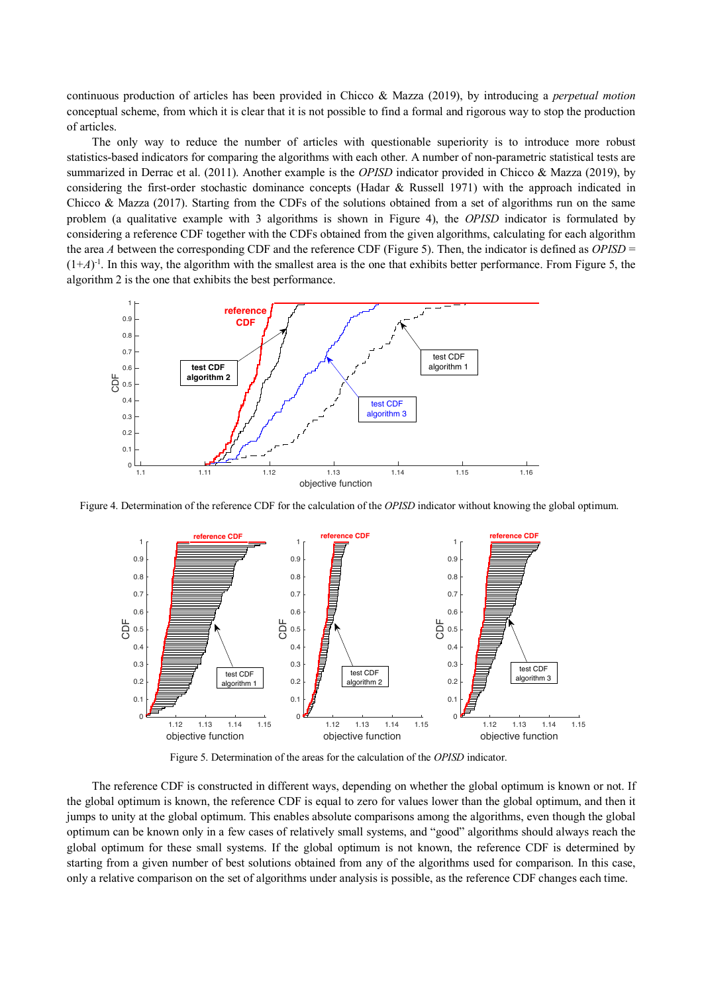continuous production of articles has been provided in Chicco & Mazza (2019), by introducing a *perpetual motion* conceptual scheme, from which it is clear that it is not possible to find a formal and rigorous way to stop the production of articles.

The only way to reduce the number of articles with questionable superiority is to introduce more robust statistics-based indicators for comparing the algorithms with each other. A number of non-parametric statistical tests are summarized in Derrac et al. (2011). Another example is the *OPISD* indicator provided in Chicco & Mazza (2019), by considering the first-order stochastic dominance concepts (Hadar & Russell 1971) with the approach indicated in Chicco & Mazza (2017). Starting from the CDFs of the solutions obtained from a set of algorithms run on the same problem (a qualitative example with 3 algorithms is shown in Figure 4), the *OPISD* indicator is formulated by considering a reference CDF together with the CDFs obtained from the given algorithms, calculating for each algorithm the area *A* between the corresponding CDF and the reference CDF (Figure 5). Then, the indicator is defined as *OPISD* =  $(1+A)^{-1}$ . In this way, the algorithm with the smallest area is the one that exhibits better performance. From Figure 5, the algorithm 2 is the one that exhibits the best performance.



Figure 4. Determination of the reference CDF for the calculation of the *OPISD* indicator without knowing the global optimum.



Figure 5. Determination of the areas for the calculation of the *OPISD* indicator.

The reference CDF is constructed in different ways, depending on whether the global optimum is known or not. If the global optimum is known, the reference CDF is equal to zero for values lower than the global optimum, and then it jumps to unity at the global optimum. This enables absolute comparisons among the algorithms, even though the global optimum can be known only in a few cases of relatively small systems, and "good" algorithms should always reach the global optimum for these small systems. If the global optimum is not known, the reference CDF is determined by starting from a given number of best solutions obtained from any of the algorithms used for comparison. In this case, only a relative comparison on the set of algorithms under analysis is possible, as the reference CDF changes each time.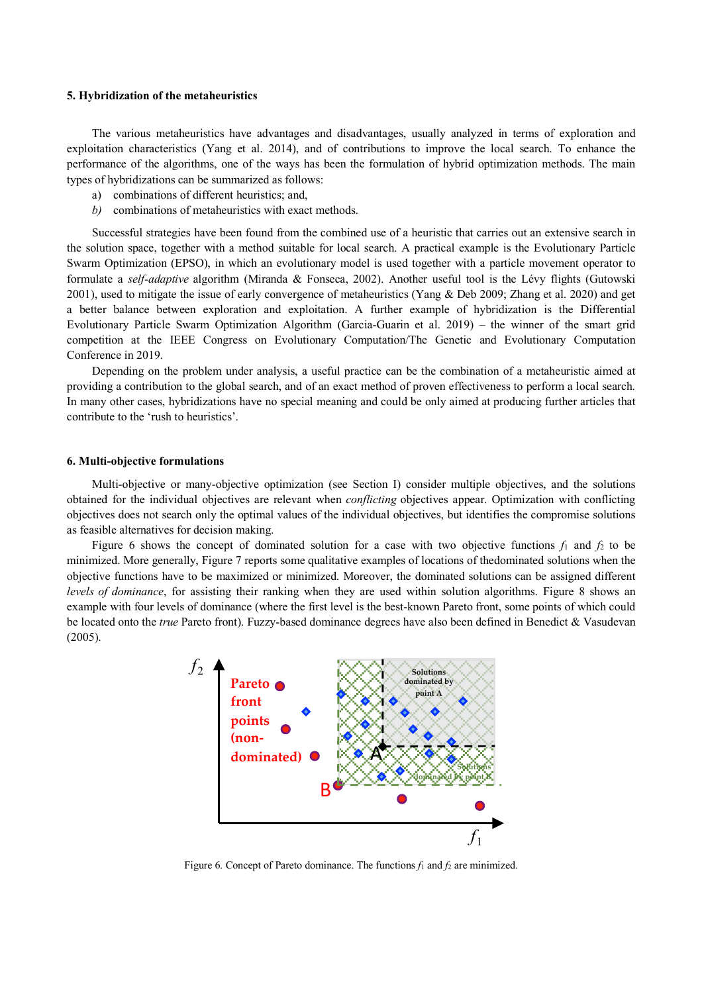## **5. Hybridization of the metaheuristics**

The various metaheuristics have advantages and disadvantages, usually analyzed in terms of exploration and exploitation characteristics (Yang et al. 2014), and of contributions to improve the local search. To enhance the performance of the algorithms, one of the ways has been the formulation of hybrid optimization methods. The main types of hybridizations can be summarized as follows:

- a) combinations of different heuristics; and,
- *b)* combinations of metaheuristics with exact methods.

Successful strategies have been found from the combined use of a heuristic that carries out an extensive search in the solution space, together with a method suitable for local search. A practical example is the Evolutionary Particle Swarm Optimization (EPSO), in which an evolutionary model is used together with a particle movement operator to formulate a *self-adaptive* algorithm (Miranda & Fonseca, 2002). Another useful tool is the Lévy flights (Gutowski 2001), used to mitigate the issue of early convergence of metaheuristics (Yang & Deb 2009; Zhang et al. 2020) and get a better balance between exploration and exploitation. A further example of hybridization is the Differential Evolutionary Particle Swarm Optimization Algorithm (Garcia-Guarin et al. 2019) – the winner of the smart grid competition at the IEEE Congress on Evolutionary Computation/The Genetic and Evolutionary Computation Conference in 2019.

Depending on the problem under analysis, a useful practice can be the combination of a metaheuristic aimed at providing a contribution to the global search, and of an exact method of proven effectiveness to perform a local search. In many other cases, hybridizations have no special meaning and could be only aimed at producing further articles that contribute to the 'rush to heuristics'.

## **6. Multi-objective formulations**

Multi-objective or many-objective optimization (see Section I) consider multiple objectives, and the solutions obtained for the individual objectives are relevant when *conflicting* objectives appear. Optimization with conflicting objectives does not search only the optimal values of the individual objectives, but identifies the compromise solutions as feasible alternatives for decision making.

Figure 6 shows the concept of dominated solution for a case with two objective functions  $f_1$  and  $f_2$  to be minimized. More generally, Figure 7 reports some qualitative examples of locations of thedominated solutions when the objective functions have to be maximized or minimized. Moreover, the dominated solutions can be assigned different *levels of dominance*, for assisting their ranking when they are used within solution algorithms. Figure 8 shows an example with four levels of dominance (where the first level is the best-known Pareto front, some points of which could be located onto the *true* Pareto front). Fuzzy-based dominance degrees have also been defined in Benedict & Vasudevan (2005).



Figure 6. Concept of Pareto dominance. The functions  $f_1$  and  $f_2$  are minimized.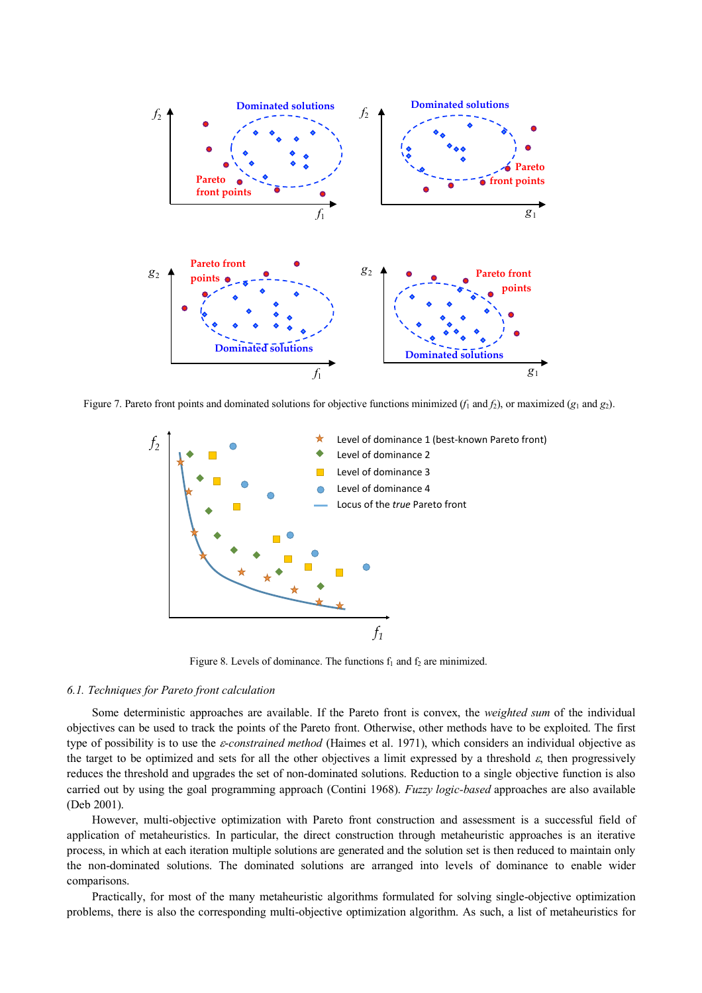

Figure 7. Pareto front points and dominated solutions for objective functions minimized ( $f_1$  and  $f_2$ ), or maximized ( $g_1$  and  $g_2$ ).



Figure 8. Levels of dominance. The functions  $f_1$  and  $f_2$  are minimized.

# *6.1. Techniques for Pareto front calculation*

Some deterministic approaches are available. If the Pareto front is convex, the *weighted sum* of the individual objectives can be used to track the points of the Pareto front. Otherwise, other methods have to be exploited. The first type of possibility is to use the e-*constrained method* (Haimes et al. 1971), which considers an individual objective as the target to be optimized and sets for all the other objectives a limit expressed by a threshold  $\varepsilon$ , then progressively reduces the threshold and upgrades the set of non-dominated solutions. Reduction to a single objective function is also carried out by using the goal programming approach (Contini 1968). *Fuzzy logic-based* approaches are also available (Deb 2001).

However, multi-objective optimization with Pareto front construction and assessment is a successful field of application of metaheuristics. In particular, the direct construction through metaheuristic approaches is an iterative process, in which at each iteration multiple solutions are generated and the solution set is then reduced to maintain only the non-dominated solutions. The dominated solutions are arranged into levels of dominance to enable wider comparisons.

Practically, for most of the many metaheuristic algorithms formulated for solving single-objective optimization problems, there is also the corresponding multi-objective optimization algorithm. As such, a list of metaheuristics for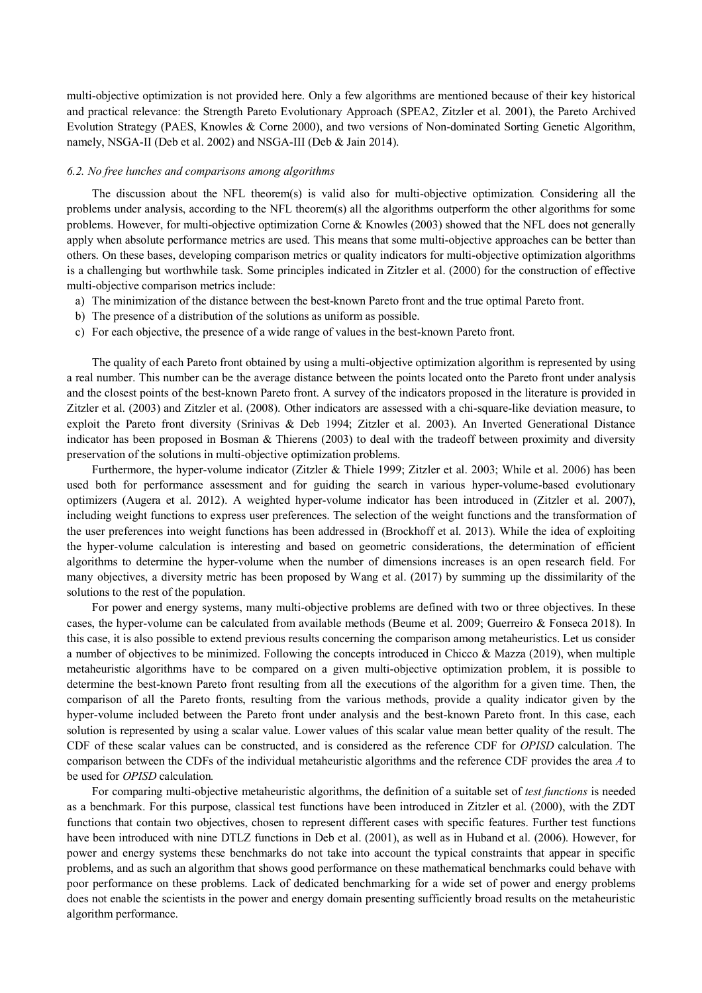multi-objective optimization is not provided here. Only a few algorithms are mentioned because of their key historical and practical relevance: the Strength Pareto Evolutionary Approach (SPEA2, Zitzler et al. 2001), the Pareto Archived Evolution Strategy (PAES, Knowles & Corne 2000), and two versions of Non-dominated Sorting Genetic Algorithm, namely, NSGA-II (Deb et al. 2002) and NSGA-III (Deb & Jain 2014).

#### *6.2. No free lunches and comparisons among algorithms*

The discussion about the NFL theorem(s) is valid also for multi-objective optimization*.* Considering all the problems under analysis, according to the NFL theorem(s) all the algorithms outperform the other algorithms for some problems. However, for multi-objective optimization Corne & Knowles (2003) showed that the NFL does not generally apply when absolute performance metrics are used. This means that some multi-objective approaches can be better than others. On these bases, developing comparison metrics or quality indicators for multi-objective optimization algorithms is a challenging but worthwhile task. Some principles indicated in Zitzler et al. (2000) for the construction of effective multi-objective comparison metrics include:

- a) The minimization of the distance between the best-known Pareto front and the true optimal Pareto front.
- b) The presence of a distribution of the solutions as uniform as possible.
- c) For each objective, the presence of a wide range of values in the best-known Pareto front.

The quality of each Pareto front obtained by using a multi-objective optimization algorithm is represented by using a real number. This number can be the average distance between the points located onto the Pareto front under analysis and the closest points of the best-known Pareto front. A survey of the indicators proposed in the literature is provided in Zitzler et al. (2003) and Zitzler et al. (2008). Other indicators are assessed with a chi-square-like deviation measure, to exploit the Pareto front diversity (Srinivas & Deb 1994; Zitzler et al. 2003). An Inverted Generational Distance indicator has been proposed in Bosman & Thierens (2003) to deal with the tradeoff between proximity and diversity preservation of the solutions in multi-objective optimization problems.

Furthermore, the hyper-volume indicator (Zitzler & Thiele 1999; Zitzler et al. 2003; While et al. 2006) has been used both for performance assessment and for guiding the search in various hyper-volume-based evolutionary optimizers (Augera et al. 2012). A weighted hyper-volume indicator has been introduced in (Zitzler et al. 2007), including weight functions to express user preferences. The selection of the weight functions and the transformation of the user preferences into weight functions has been addressed in (Brockhoff et al. 2013). While the idea of exploiting the hyper-volume calculation is interesting and based on geometric considerations, the determination of efficient algorithms to determine the hyper-volume when the number of dimensions increases is an open research field. For many objectives, a diversity metric has been proposed by Wang et al. (2017) by summing up the dissimilarity of the solutions to the rest of the population.

For power and energy systems, many multi-objective problems are defined with two or three objectives. In these cases, the hyper-volume can be calculated from available methods (Beume et al. 2009; Guerreiro & Fonseca 2018). In this case, it is also possible to extend previous results concerning the comparison among metaheuristics. Let us consider a number of objectives to be minimized. Following the concepts introduced in Chicco & Mazza (2019), when multiple metaheuristic algorithms have to be compared on a given multi-objective optimization problem, it is possible to determine the best-known Pareto front resulting from all the executions of the algorithm for a given time. Then, the comparison of all the Pareto fronts, resulting from the various methods, provide a quality indicator given by the hyper-volume included between the Pareto front under analysis and the best-known Pareto front. In this case, each solution is represented by using a scalar value. Lower values of this scalar value mean better quality of the result. The CDF of these scalar values can be constructed, and is considered as the reference CDF for *OPISD* calculation. The comparison between the CDFs of the individual metaheuristic algorithms and the reference CDF provides the area *A* to be used for *OPISD* calculation*.* 

For comparing multi-objective metaheuristic algorithms, the definition of a suitable set of *test functions* is needed as a benchmark. For this purpose, classical test functions have been introduced in Zitzler et al. (2000), with the ZDT functions that contain two objectives, chosen to represent different cases with specific features. Further test functions have been introduced with nine DTLZ functions in Deb et al. (2001), as well as in Huband et al. (2006). However, for power and energy systems these benchmarks do not take into account the typical constraints that appear in specific problems, and as such an algorithm that shows good performance on these mathematical benchmarks could behave with poor performance on these problems. Lack of dedicated benchmarking for a wide set of power and energy problems does not enable the scientists in the power and energy domain presenting sufficiently broad results on the metaheuristic algorithm performance.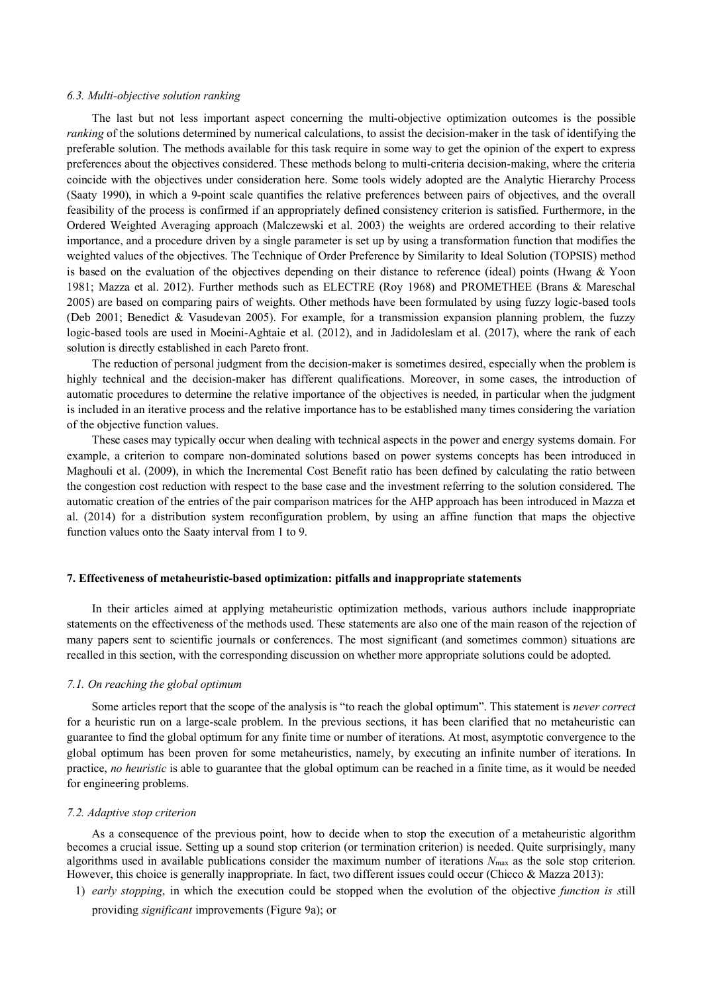## *6.3. Multi-objective solution ranking*

The last but not less important aspect concerning the multi-objective optimization outcomes is the possible *ranking* of the solutions determined by numerical calculations, to assist the decision-maker in the task of identifying the preferable solution. The methods available for this task require in some way to get the opinion of the expert to express preferences about the objectives considered. These methods belong to multi-criteria decision-making, where the criteria coincide with the objectives under consideration here. Some tools widely adopted are the Analytic Hierarchy Process (Saaty 1990), in which a 9-point scale quantifies the relative preferences between pairs of objectives, and the overall feasibility of the process is confirmed if an appropriately defined consistency criterion is satisfied. Furthermore, in the Ordered Weighted Averaging approach (Malczewski et al. 2003) the weights are ordered according to their relative importance, and a procedure driven by a single parameter is set up by using a transformation function that modifies the weighted values of the objectives. The Technique of Order Preference by Similarity to Ideal Solution (TOPSIS) method is based on the evaluation of the objectives depending on their distance to reference (ideal) points (Hwang & Yoon 1981; Mazza et al. 2012). Further methods such as ELECTRE (Roy 1968) and PROMETHEE (Brans & Mareschal 2005) are based on comparing pairs of weights. Other methods have been formulated by using fuzzy logic-based tools (Deb 2001; Benedict & Vasudevan 2005). For example, for a transmission expansion planning problem, the fuzzy logic-based tools are used in Moeini-Aghtaie et al. (2012), and in Jadidoleslam et al. (2017), where the rank of each solution is directly established in each Pareto front.

The reduction of personal judgment from the decision-maker is sometimes desired, especially when the problem is highly technical and the decision-maker has different qualifications. Moreover, in some cases, the introduction of automatic procedures to determine the relative importance of the objectives is needed, in particular when the judgment is included in an iterative process and the relative importance has to be established many times considering the variation of the objective function values.

These cases may typically occur when dealing with technical aspects in the power and energy systems domain. For example, a criterion to compare non-dominated solutions based on power systems concepts has been introduced in Maghouli et al. (2009), in which the Incremental Cost Benefit ratio has been defined by calculating the ratio between the congestion cost reduction with respect to the base case and the investment referring to the solution considered. The automatic creation of the entries of the pair comparison matrices for the AHP approach has been introduced in Mazza et al. (2014) for a distribution system reconfiguration problem, by using an affine function that maps the objective function values onto the Saaty interval from 1 to 9.

## **7. Effectiveness of metaheuristic-based optimization: pitfalls and inappropriate statements**

In their articles aimed at applying metaheuristic optimization methods, various authors include inappropriate statements on the effectiveness of the methods used. These statements are also one of the main reason of the rejection of many papers sent to scientific journals or conferences. The most significant (and sometimes common) situations are recalled in this section, with the corresponding discussion on whether more appropriate solutions could be adopted.

## *7.1. On reaching the global optimum*

Some articles report that the scope of the analysis is "to reach the global optimum". This statement is *never correct*  for a heuristic run on a large-scale problem. In the previous sections, it has been clarified that no metaheuristic can guarantee to find the global optimum for any finite time or number of iterations. At most, asymptotic convergence to the global optimum has been proven for some metaheuristics, namely, by executing an infinite number of iterations. In practice, *no heuristic* is able to guarantee that the global optimum can be reached in a finite time, as it would be needed for engineering problems.

#### *7.2. Adaptive stop criterion*

As a consequence of the previous point, how to decide when to stop the execution of a metaheuristic algorithm becomes a crucial issue. Setting up a sound stop criterion (or termination criterion) is needed. Quite surprisingly, many algorithms used in available publications consider the maximum number of iterations *N*max as the sole stop criterion. However, this choice is generally inappropriate. In fact, two different issues could occur (Chicco & Mazza 2013):

1) *early stopping*, in which the execution could be stopped when the evolution of the objective *function is s*till

providing *significant* improvements (Figure 9a); or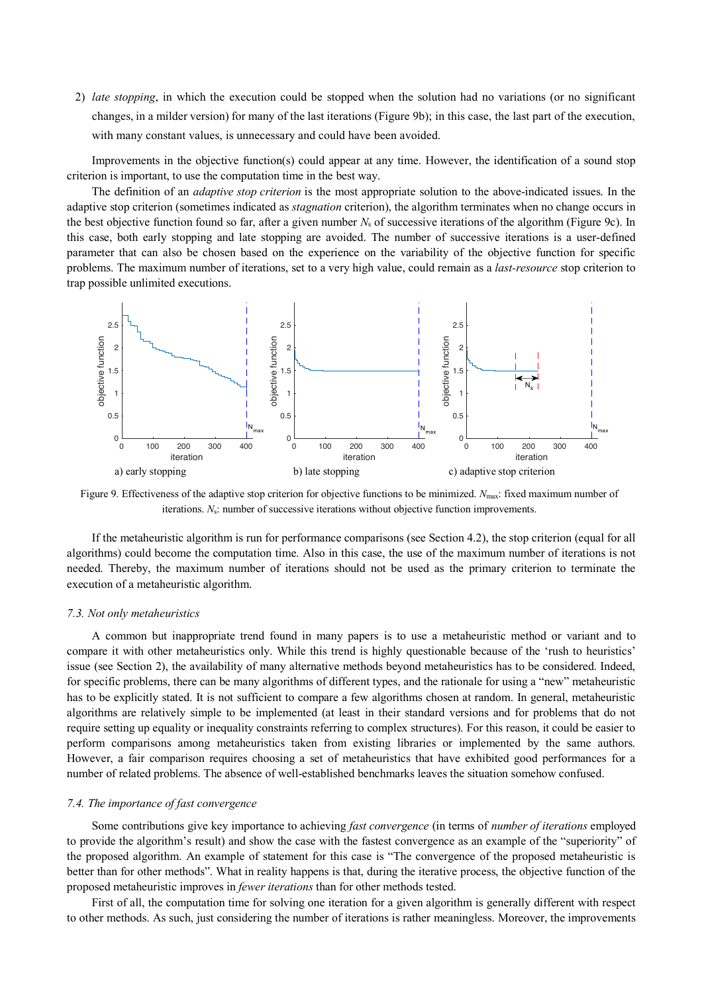2) *late stopping*, in which the execution could be stopped when the solution had no variations (or no significant changes, in a milder version) for many of the last iterations (Figure 9b); in this case, the last part of the execution, with many constant values, is unnecessary and could have been avoided.

Improvements in the objective function(s) could appear at any time. However, the identification of a sound stop criterion is important, to use the computation time in the best way.

The definition of an *adaptive stop criterion* is the most appropriate solution to the above-indicated issues. In the adaptive stop criterion (sometimes indicated as *stagnation* criterion), the algorithm terminates when no change occurs in the best objective function found so far, after a given number *N*<sup>s</sup> of successive iterations of the algorithm (Figure 9c). In this case, both early stopping and late stopping are avoided. The number of successive iterations is a user-defined parameter that can also be chosen based on the experience on the variability of the objective function for specific problems. The maximum number of iterations, set to a very high value, could remain as a *last-resource* stop criterion to trap possible unlimited executions.



Figure 9. Effectiveness of the adaptive stop criterion for objective functions to be minimized. *N*max: fixed maximum number of iterations. *N*s: number of successive iterations without objective function improvements.

If the metaheuristic algorithm is run for performance comparisons (see Section 4.2), the stop criterion (equal for all algorithms) could become the computation time. Also in this case, the use of the maximum number of iterations is not needed. Thereby, the maximum number of iterations should not be used as the primary criterion to terminate the execution of a metaheuristic algorithm.

## *7.3. Not only metaheuristics*

A common but inappropriate trend found in many papers is to use a metaheuristic method or variant and to compare it with other metaheuristics only. While this trend is highly questionable because of the 'rush to heuristics' issue (see Section 2), the availability of many alternative methods beyond metaheuristics has to be considered. Indeed, for specific problems, there can be many algorithms of different types, and the rationale for using a "new" metaheuristic has to be explicitly stated. It is not sufficient to compare a few algorithms chosen at random. In general, metaheuristic algorithms are relatively simple to be implemented (at least in their standard versions and for problems that do not require setting up equality or inequality constraints referring to complex structures). For this reason, it could be easier to perform comparisons among metaheuristics taken from existing libraries or implemented by the same authors. However, a fair comparison requires choosing a set of metaheuristics that have exhibited good performances for a number of related problems. The absence of well-established benchmarks leaves the situation somehow confused.

## *7.4. The importance of fast convergence*

Some contributions give key importance to achieving *fast convergence* (in terms of *number of iterations* employed to provide the algorithm's result) and show the case with the fastest convergence as an example of the "superiority" of the proposed algorithm. An example of statement for this case is "The convergence of the proposed metaheuristic is better than for other methods". What in reality happens is that, during the iterative process, the objective function of the proposed metaheuristic improves in *fewer iterations* than for other methods tested.

First of all, the computation time for solving one iteration for a given algorithm is generally different with respect to other methods. As such, just considering the number of iterations is rather meaningless. Moreover, the improvements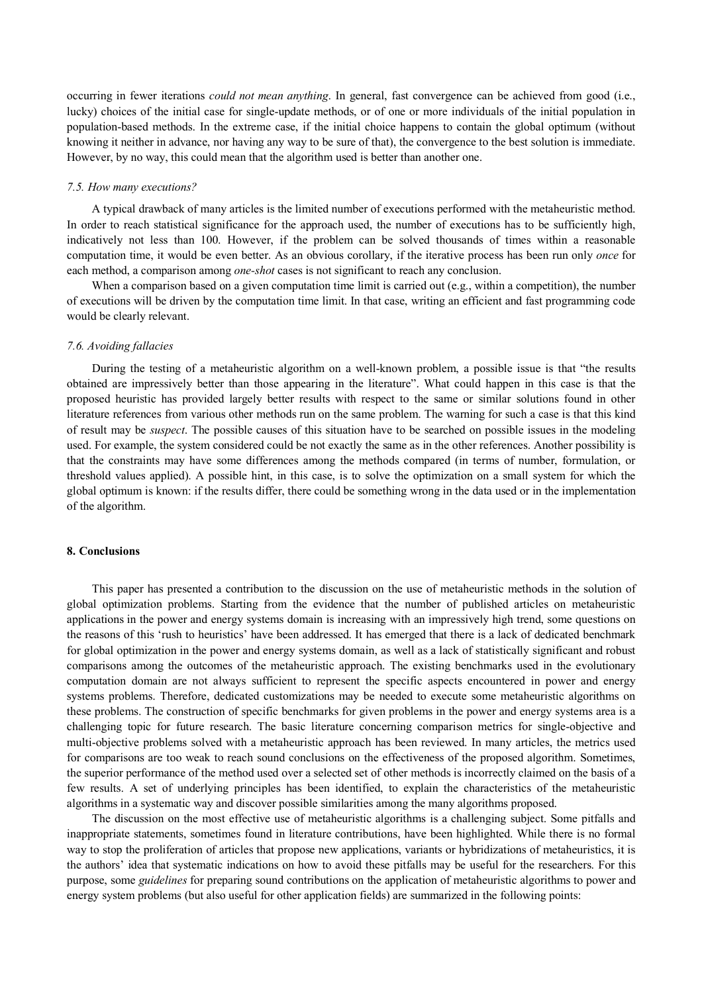occurring in fewer iterations *could not mean anything*. In general, fast convergence can be achieved from good (i.e., lucky) choices of the initial case for single-update methods, or of one or more individuals of the initial population in population-based methods. In the extreme case, if the initial choice happens to contain the global optimum (without knowing it neither in advance, nor having any way to be sure of that), the convergence to the best solution is immediate. However, by no way, this could mean that the algorithm used is better than another one.

## *7.5. How many executions?*

A typical drawback of many articles is the limited number of executions performed with the metaheuristic method. In order to reach statistical significance for the approach used, the number of executions has to be sufficiently high, indicatively not less than 100. However, if the problem can be solved thousands of times within a reasonable computation time, it would be even better. As an obvious corollary, if the iterative process has been run only *once* for each method, a comparison among *one-shot* cases is not significant to reach any conclusion.

When a comparison based on a given computation time limit is carried out (e.g., within a competition), the number of executions will be driven by the computation time limit. In that case, writing an efficient and fast programming code would be clearly relevant.

## *7.6. Avoiding fallacies*

During the testing of a metaheuristic algorithm on a well-known problem, a possible issue is that "the results obtained are impressively better than those appearing in the literature". What could happen in this case is that the proposed heuristic has provided largely better results with respect to the same or similar solutions found in other literature references from various other methods run on the same problem. The warning for such a case is that this kind of result may be *suspect*. The possible causes of this situation have to be searched on possible issues in the modeling used. For example, the system considered could be not exactly the same as in the other references. Another possibility is that the constraints may have some differences among the methods compared (in terms of number, formulation, or threshold values applied). A possible hint, in this case, is to solve the optimization on a small system for which the global optimum is known: if the results differ, there could be something wrong in the data used or in the implementation of the algorithm.

# **8. Conclusions**

This paper has presented a contribution to the discussion on the use of metaheuristic methods in the solution of global optimization problems. Starting from the evidence that the number of published articles on metaheuristic applications in the power and energy systems domain is increasing with an impressively high trend, some questions on the reasons of this 'rush to heuristics' have been addressed. It has emerged that there is a lack of dedicated benchmark for global optimization in the power and energy systems domain, as well as a lack of statistically significant and robust comparisons among the outcomes of the metaheuristic approach. The existing benchmarks used in the evolutionary computation domain are not always sufficient to represent the specific aspects encountered in power and energy systems problems. Therefore, dedicated customizations may be needed to execute some metaheuristic algorithms on these problems. The construction of specific benchmarks for given problems in the power and energy systems area is a challenging topic for future research. The basic literature concerning comparison metrics for single-objective and multi-objective problems solved with a metaheuristic approach has been reviewed. In many articles, the metrics used for comparisons are too weak to reach sound conclusions on the effectiveness of the proposed algorithm. Sometimes, the superior performance of the method used over a selected set of other methods is incorrectly claimed on the basis of a few results. A set of underlying principles has been identified, to explain the characteristics of the metaheuristic algorithms in a systematic way and discover possible similarities among the many algorithms proposed.

The discussion on the most effective use of metaheuristic algorithms is a challenging subject. Some pitfalls and inappropriate statements, sometimes found in literature contributions, have been highlighted. While there is no formal way to stop the proliferation of articles that propose new applications, variants or hybridizations of metaheuristics, it is the authors' idea that systematic indications on how to avoid these pitfalls may be useful for the researchers. For this purpose, some *guidelines* for preparing sound contributions on the application of metaheuristic algorithms to power and energy system problems (but also useful for other application fields) are summarized in the following points: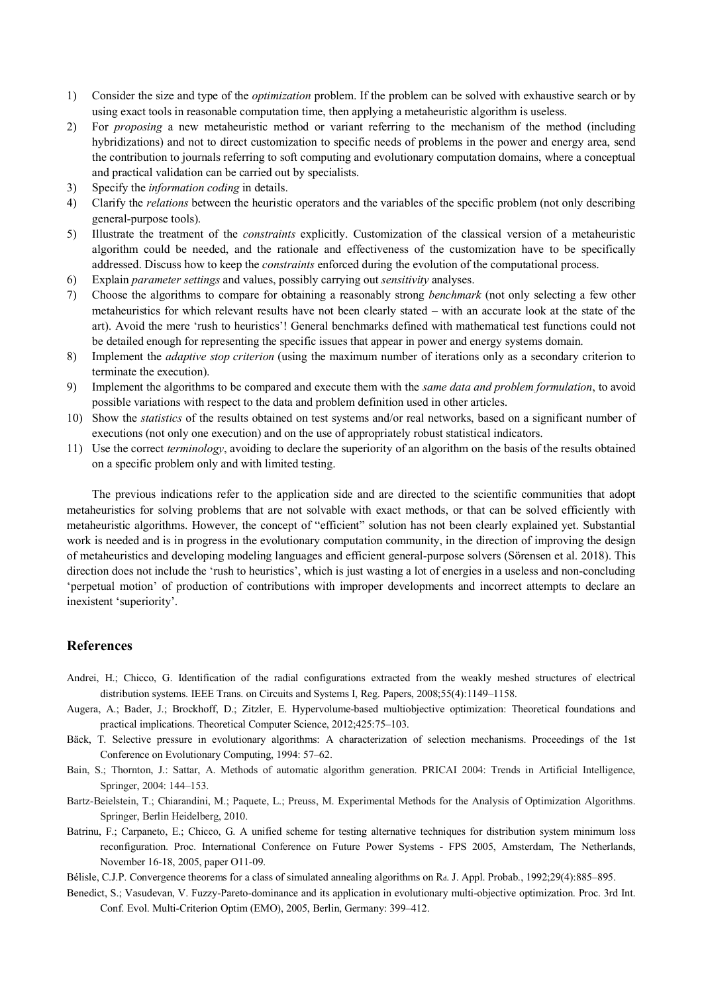- 1) Consider the size and type of the *optimization* problem. If the problem can be solved with exhaustive search or by using exact tools in reasonable computation time, then applying a metaheuristic algorithm is useless.
- 2) For *proposing* a new metaheuristic method or variant referring to the mechanism of the method (including hybridizations) and not to direct customization to specific needs of problems in the power and energy area, send the contribution to journals referring to soft computing and evolutionary computation domains, where a conceptual and practical validation can be carried out by specialists.
- 3) Specify the *information coding* in details.
- 4) Clarify the *relations* between the heuristic operators and the variables of the specific problem (not only describing general-purpose tools).
- 5) Illustrate the treatment of the *constraints* explicitly. Customization of the classical version of a metaheuristic algorithm could be needed, and the rationale and effectiveness of the customization have to be specifically addressed. Discuss how to keep the *constraints* enforced during the evolution of the computational process.
- 6) Explain *parameter settings* and values, possibly carrying out *sensitivity* analyses.
- 7) Choose the algorithms to compare for obtaining a reasonably strong *benchmark* (not only selecting a few other metaheuristics for which relevant results have not been clearly stated – with an accurate look at the state of the art). Avoid the mere 'rush to heuristics'! General benchmarks defined with mathematical test functions could not be detailed enough for representing the specific issues that appear in power and energy systems domain.
- 8) Implement the *adaptive stop criterion* (using the maximum number of iterations only as a secondary criterion to terminate the execution).
- 9) Implement the algorithms to be compared and execute them with the *same data and problem formulation*, to avoid possible variations with respect to the data and problem definition used in other articles.
- 10) Show the *statistics* of the results obtained on test systems and/or real networks, based on a significant number of executions (not only one execution) and on the use of appropriately robust statistical indicators.
- 11) Use the correct *terminology*, avoiding to declare the superiority of an algorithm on the basis of the results obtained on a specific problem only and with limited testing.

The previous indications refer to the application side and are directed to the scientific communities that adopt metaheuristics for solving problems that are not solvable with exact methods, or that can be solved efficiently with metaheuristic algorithms. However, the concept of "efficient" solution has not been clearly explained yet. Substantial work is needed and is in progress in the evolutionary computation community, in the direction of improving the design of metaheuristics and developing modeling languages and efficient general-purpose solvers (Sörensen et al. 2018). This direction does not include the 'rush to heuristics', which is just wasting a lot of energies in a useless and non-concluding 'perpetual motion' of production of contributions with improper developments and incorrect attempts to declare an inexistent 'superiority'.

# **References**

- Andrei, H.; Chicco, G. Identification of the radial configurations extracted from the weakly meshed structures of electrical distribution systems. IEEE Trans. on Circuits and Systems I, Reg. Papers, 2008;55(4):1149–1158.
- Augera, A.; Bader, J.; Brockhoff, D.; Zitzler, E. Hypervolume-based multiobjective optimization: Theoretical foundations and practical implications. Theoretical Computer Science, 2012;425:75–103.
- Bäck, T. Selective pressure in evolutionary algorithms: A characterization of selection mechanisms. Proceedings of the 1st Conference on Evolutionary Computing, 1994: 57–62.
- Bain, S.; Thornton, J.: Sattar, A. Methods of automatic algorithm generation. PRICAI 2004: Trends in Artificial Intelligence, Springer, 2004: 144–153.
- Bartz-Beielstein, T.; Chiarandini, M.; Paquete, L.; Preuss, M. Experimental Methods for the Analysis of Optimization Algorithms. Springer, Berlin Heidelberg, 2010.
- Batrinu, F.; Carpaneto, E.; Chicco, G. A unified scheme for testing alternative techniques for distribution system minimum loss reconfiguration. Proc. International Conference on Future Power Systems - FPS 2005, Amsterdam, The Netherlands, November 16-18, 2005, paper O11-09.
- Bélisle, C.J.P. Convergence theorems for a class of simulated annealing algorithms on Rd. J. Appl. Probab., 1992;29(4):885–895.
- Benedict, S.; Vasudevan, V. Fuzzy-Pareto-dominance and its application in evolutionary multi-objective optimization. Proc. 3rd Int. Conf. Evol. Multi-Criterion Optim (EMO), 2005, Berlin, Germany: 399–412.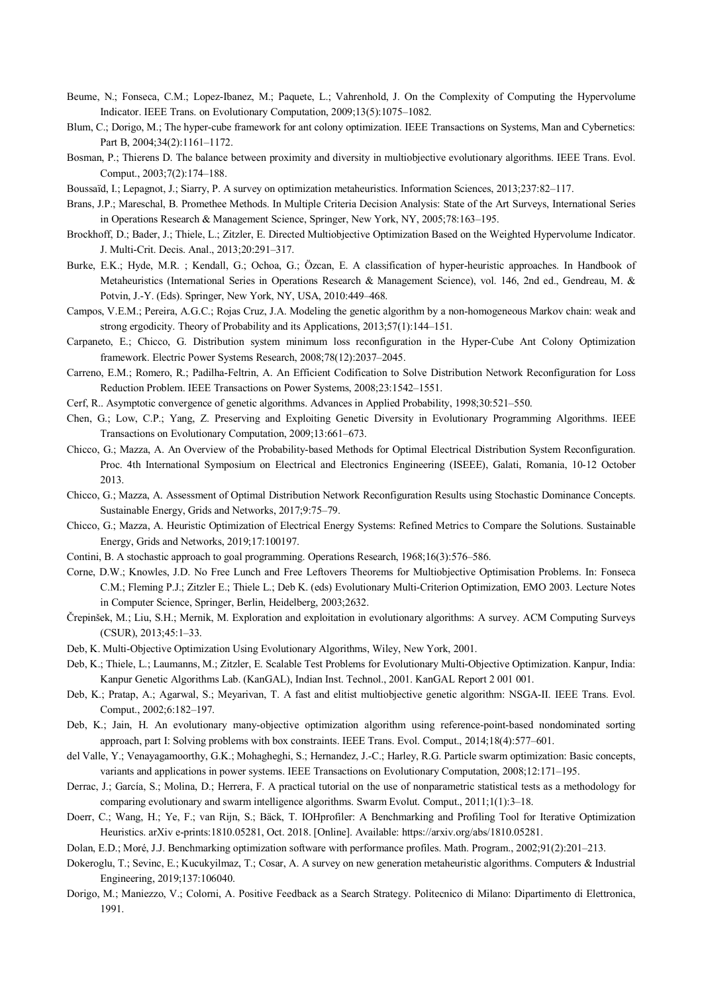- Beume, N.; Fonseca, C.M.; Lopez-Ibanez, M.; Paquete, L.; Vahrenhold, J. On the Complexity of Computing the Hypervolume Indicator. IEEE Trans. on Evolutionary Computation, 2009;13(5):1075–1082.
- Blum, C.; Dorigo, M.; The hyper-cube framework for ant colony optimization. IEEE Transactions on Systems, Man and Cybernetics: Part B, 2004;34(2):1161–1172.
- Bosman, P.; Thierens D. The balance between proximity and diversity in multiobjective evolutionary algorithms. IEEE Trans. Evol. Comput., 2003;7(2):174–188.
- Boussaïd, I.; Lepagnot, J.; Siarry, P. A survey on optimization metaheuristics. Information Sciences, 2013;237:82–117.
- Brans, J.P.; Mareschal, B. Promethee Methods. In Multiple Criteria Decision Analysis: State of the Art Surveys, International Series in Operations Research & Management Science, Springer, New York, NY, 2005;78:163–195.
- Brockhoff, D.; Bader, J.; Thiele, L.; Zitzler, E. Directed Multiobjective Optimization Based on the Weighted Hypervolume Indicator. J. Multi-Crit. Decis. Anal., 2013;20:291–317.
- Burke, E.K.; Hyde, M.R. ; Kendall, G.; Ochoa, G.; Özcan, E. A classification of hyper-heuristic approaches. In Handbook of Metaheuristics (International Series in Operations Research & Management Science), vol. 146, 2nd ed., Gendreau, M. & Potvin, J.-Y. (Eds). Springer, New York, NY, USA, 2010:449–468.
- Campos, V.E.M.; Pereira, A.G.C.; Rojas Cruz, J.A. Modeling the genetic algorithm by a non-homogeneous Markov chain: weak and strong ergodicity. Theory of Probability and its Applications, 2013;57(1):144–151.
- Carpaneto, E.; Chicco, G. Distribution system minimum loss reconfiguration in the Hyper-Cube Ant Colony Optimization framework. Electric Power Systems Research, 2008;78(12):2037–2045.
- Carreno, E.M.; Romero, R.; Padilha-Feltrin, A. An Efficient Codification to Solve Distribution Network Reconfiguration for Loss Reduction Problem. IEEE Transactions on Power Systems, 2008;23:1542–1551.
- Cerf, R.. Asymptotic convergence of genetic algorithms. Advances in Applied Probability, 1998;30:521–550.
- Chen, G.; Low, C.P.; Yang, Z. Preserving and Exploiting Genetic Diversity in Evolutionary Programming Algorithms. IEEE Transactions on Evolutionary Computation, 2009;13:661–673.
- Chicco, G.; Mazza, A. An Overview of the Probability-based Methods for Optimal Electrical Distribution System Reconfiguration. Proc. 4th International Symposium on Electrical and Electronics Engineering (ISEEE), Galati, Romania, 10-12 October 2013.
- Chicco, G.; Mazza, A. Assessment of Optimal Distribution Network Reconfiguration Results using Stochastic Dominance Concepts. Sustainable Energy, Grids and Networks, 2017;9:75–79.
- Chicco, G.; Mazza, A. Heuristic Optimization of Electrical Energy Systems: Refined Metrics to Compare the Solutions. Sustainable Energy, Grids and Networks, 2019;17:100197.
- Contini, B. A stochastic approach to goal programming. Operations Research, 1968;16(3):576–586.
- Corne, D.W.; Knowles, J.D. No Free Lunch and Free Leftovers Theorems for Multiobjective Optimisation Problems. In: Fonseca C.M.; Fleming P.J.; Zitzler E.; Thiele L.; Deb K. (eds) Evolutionary Multi-Criterion Optimization, EMO 2003. Lecture Notes in Computer Science, Springer, Berlin, Heidelberg, 2003;2632.
- Črepinšek, M.; Liu, S.H.; Mernik, M. Exploration and exploitation in evolutionary algorithms: A survey. ACM Computing Surveys (CSUR), 2013;45:1–33.
- Deb, K. Multi-Objective Optimization Using Evolutionary Algorithms, Wiley, New York, 2001.
- Deb, K.; Thiele, L.; Laumanns, M.; Zitzler, E. Scalable Test Problems for Evolutionary Multi-Objective Optimization. Kanpur, India: Kanpur Genetic Algorithms Lab. (KanGAL), Indian Inst. Technol., 2001. KanGAL Report 2 001 001.
- Deb, K.; Pratap, A.; Agarwal, S.; Meyarivan, T. A fast and elitist multiobjective genetic algorithm: NSGA-II. IEEE Trans. Evol. Comput., 2002;6:182–197.
- Deb, K.; Jain, H. An evolutionary many-objective optimization algorithm using reference-point-based nondominated sorting approach, part I: Solving problems with box constraints. IEEE Trans. Evol. Comput., 2014;18(4):577–601.
- del Valle, Y.; Venayagamoorthy, G.K.; Mohagheghi, S.; Hernandez, J.-C.; Harley, R.G. Particle swarm optimization: Basic concepts, variants and applications in power systems. IEEE Transactions on Evolutionary Computation, 2008;12:171–195.
- Derrac, J.; García, S.; Molina, D.; Herrera, F. A practical tutorial on the use of nonparametric statistical tests as a methodology for comparing evolutionary and swarm intelligence algorithms. Swarm Evolut. Comput., 2011;1(1):3–18.
- Doerr, C.; Wang, H.; Ye, F.; van Rijn, S.; Bäck, T. IOHprofiler: A Benchmarking and Profiling Tool for Iterative Optimization Heuristics. arXiv e-prints:1810.05281, Oct. 2018. [Online]. Available: https://arxiv.org/abs/1810.05281.
- Dolan, E.D.; Moré, J.J. Benchmarking optimization software with performance profiles. Math. Program., 2002;91(2):201–213.
- Dokeroglu, T.; Sevinc, E.; Kucukyilmaz, T.; Cosar, A. A survey on new generation metaheuristic algorithms. Computers & Industrial Engineering, 2019;137:106040.
- Dorigo, M.; Maniezzo, V.; Colorni, A. Positive Feedback as a Search Strategy. Politecnico di Milano: Dipartimento di Elettronica, 1991.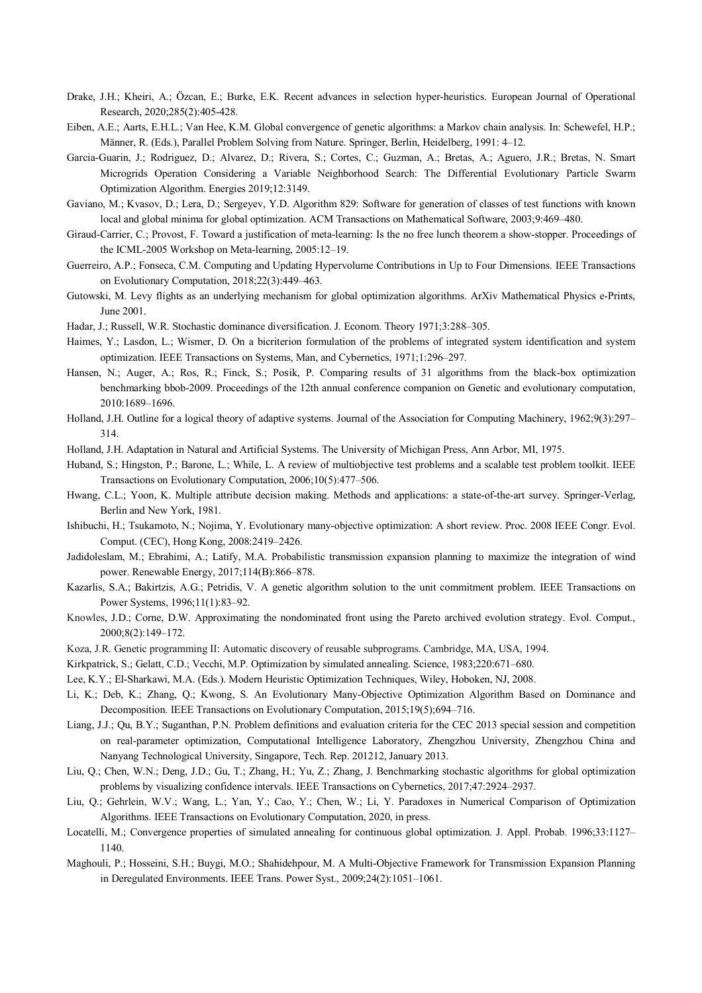- Drake, J.H.; Kheiri, A.; Özcan, E.; Burke, E.K. Recent advances in selection hyper-heuristics. European Journal of Operational Research, 2020;285(2):405-428.
- Eiben, A.E.; Aarts, E.H.L.; Van Hee, K.M. Global convergence of genetic algorithms: a Markov chain analysis. In: Schewefel, H.P.; Männer, R. (Eds.), Parallel Problem Solving from Nature. Springer, Berlin, Heidelberg, 1991: 4–12.
- Garcia-Guarin, J.; Rodriguez, D.; Alvarez, D.; Rivera, S.; Cortes, C.; Guzman, A.; Bretas, A.; Aguero, J.R.; Bretas, N. Smart Microgrids Operation Considering a Variable Neighborhood Search: The Differential Evolutionary Particle Swarm Optimization Algorithm. Energies 2019;12:3149.
- Gaviano, M.; Kvasov, D.; Lera, D.; Sergeyev, Y.D. Algorithm 829: Software for generation of classes of test functions with known local and global minima for global optimization. ACM Transactions on Mathematical Software, 2003;9:469–480.
- Giraud-Carrier, C.; Provost, F. Toward a justification of meta-learning: Is the no free lunch theorem a show-stopper. Proceedings of the ICML-2005 Workshop on Meta-learning, 2005:12–19.
- Guerreiro, A.P.; Fonseca, C.M. Computing and Updating Hypervolume Contributions in Up to Four Dimensions. IEEE Transactions on Evolutionary Computation, 2018;22(3):449–463.
- Gutowski, M. Levy flights as an underlying mechanism for global optimization algorithms. ArXiv Mathematical Physics e-Prints, June 2001.
- Hadar, J.; Russell, W.R. Stochastic dominance diversification. J. Econom. Theory 1971;3:288–305.
- Haimes, Y.; Lasdon, L.; Wismer, D. On a bicriterion formulation of the problems of integrated system identification and system optimization. IEEE Transactions on Systems, Man, and Cybernetics, 1971;1:296–297.
- Hansen, N.; Auger, A.; Ros, R.; Finck, S.; Posik, P. Comparing results of 31 algorithms from the black-box optimization benchmarking bbob-2009. Proceedings of the 12th annual conference companion on Genetic and evolutionary computation, 2010:1689–1696.
- Holland, J.H. Outline for a logical theory of adaptive systems. Journal of the Association for Computing Machinery, 1962;9(3):297– 314.
- Holland, J.H. Adaptation in Natural and Artificial Systems. The University of Michigan Press, Ann Arbor, MI, 1975.
- Huband, S.; Hingston, P.; Barone, L.; While, L. A review of multiobjective test problems and a scalable test problem toolkit. IEEE Transactions on Evolutionary Computation, 2006;10(5):477–506.
- Hwang, C.L.; Yoon, K. Multiple attribute decision making. Methods and applications: a state-of-the-art survey. Springer-Verlag, Berlin and New York, 1981.
- Ishibuchi, H.; Tsukamoto, N.; Nojima, Y. Evolutionary many-objective optimization: A short review. Proc. 2008 IEEE Congr. Evol. Comput. (CEC), Hong Kong, 2008:2419–2426.
- Jadidoleslam, M.; Ebrahimi, A.; Latify, M.A. Probabilistic transmission expansion planning to maximize the integration of wind power. Renewable Energy, 2017;114(B):866–878.
- Kazarlis, S.A.; Bakirtzis, A.G.; Petridis, V. A genetic algorithm solution to the unit commitment problem. IEEE Transactions on Power Systems, 1996;11(1):83–92.
- Knowles, J.D.; Corne, D.W. Approximating the nondominated front using the Pareto archived evolution strategy. Evol. Comput., 2000;8(2):149–172.
- Koza, J.R. Genetic programming II: Automatic discovery of reusable subprograms. Cambridge, MA, USA, 1994.
- Kirkpatrick, S.; Gelatt, C.D.; Vecchi, M.P. Optimization by simulated annealing. Science, 1983;220:671–680.
- Lee, K.Y.; El-Sharkawi, M.A. (Eds.). Modern Heuristic Optimization Techniques, Wiley, Hoboken, NJ, 2008.
- Li, K.; Deb, K.; Zhang, Q.; Kwong, S. An Evolutionary Many-Objective Optimization Algorithm Based on Dominance and Decomposition. IEEE Transactions on Evolutionary Computation, 2015;19(5);694–716.
- Liang, J.J.; Qu, B.Y.; Suganthan, P.N. Problem definitions and evaluation criteria for the CEC 2013 special session and competition on real-parameter optimization, Computational Intelligence Laboratory, Zhengzhou University, Zhengzhou China and Nanyang Technological University, Singapore, Tech. Rep. 201212, January 2013.
- Liu, Q.; Chen, W.N.; Deng, J.D.; Gu, T.; Zhang, H.; Yu, Z.; Zhang, J. Benchmarking stochastic algorithms for global optimization problems by visualizing confidence intervals. IEEE Transactions on Cybernetics, 2017;47:2924–2937.
- Liu, Q.; Gehrlein, W.V.; Wang, L.; Yan, Y.; Cao, Y.; Chen, W.; Li, Y. Paradoxes in Numerical Comparison of Optimization Algorithms. IEEE Transactions on Evolutionary Computation, 2020, in press.
- Locatelli, M.; Convergence properties of simulated annealing for continuous global optimization. J. Appl. Probab. 1996;33:1127– 1140.
- Maghouli, P.; Hosseini, S.H.; Buygi, M.O.; Shahidehpour, M. A Multi-Objective Framework for Transmission Expansion Planning in Deregulated Environments. IEEE Trans. Power Syst., 2009;24(2):1051–1061.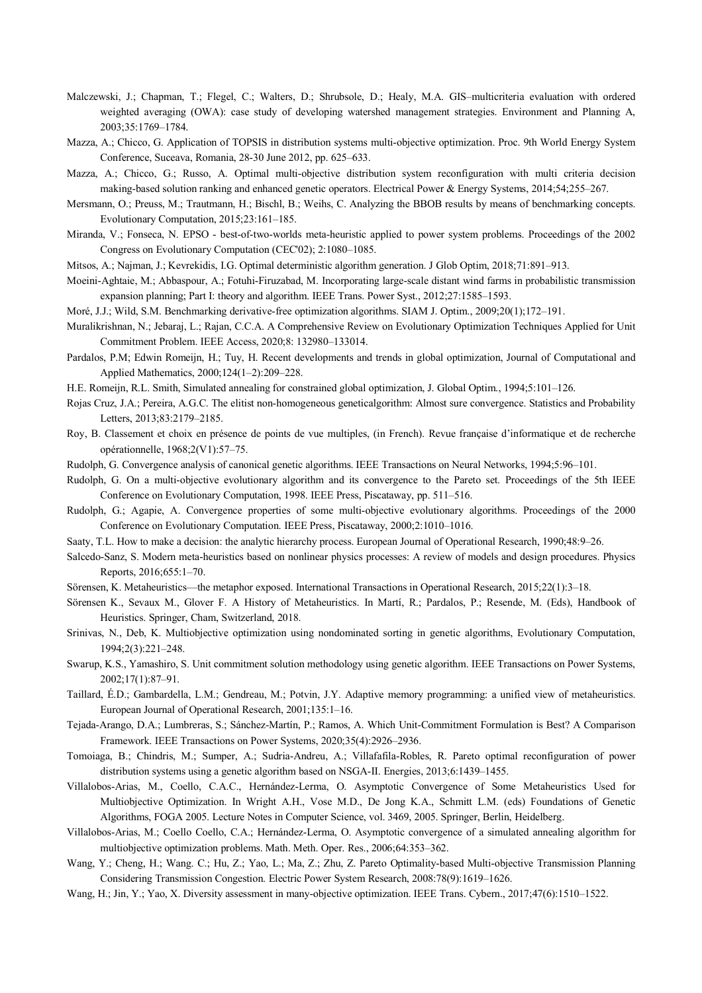- Malczewski, J.; Chapman, T.; Flegel, C.; Walters, D.; Shrubsole, D.; Healy, M.A. GIS–multicriteria evaluation with ordered weighted averaging (OWA): case study of developing watershed management strategies. Environment and Planning A, 2003;35:1769–1784.
- Mazza, A.; Chicco, G. Application of TOPSIS in distribution systems multi-objective optimization. Proc. 9th World Energy System Conference, Suceava, Romania, 28-30 June 2012, pp. 625–633.
- Mazza, A.; Chicco, G.; Russo, A. Optimal multi-objective distribution system reconfiguration with multi criteria decision making-based solution ranking and enhanced genetic operators. Electrical Power & Energy Systems, 2014;54;255–267.
- Mersmann, O.; Preuss, M.; Trautmann, H.; Bischl, B.; Weihs, C. Analyzing the BBOB results by means of benchmarking concepts. Evolutionary Computation, 2015;23:161–185.
- Miranda, V.; Fonseca, N. EPSO best-of-two-worlds meta-heuristic applied to power system problems. Proceedings of the 2002 Congress on Evolutionary Computation (CEC'02); 2:1080–1085.
- Mitsos, A.; Najman, J.; Kevrekidis, I.G. Optimal deterministic algorithm generation. J Glob Optim, 2018;71:891–913.
- Moeini-Aghtaie, M.; Abbaspour, A.; Fotuhi-Firuzabad, M. Incorporating large-scale distant wind farms in probabilistic transmission expansion planning; Part I: theory and algorithm. IEEE Trans. Power Syst., 2012;27:1585–1593.
- Moré, J.J.; Wild, S.M. Benchmarking derivative-free optimization algorithms. SIAM J. Optim., 2009;20(1);172–191.
- Muralikrishnan, N.; Jebaraj, L.; Rajan, C.C.A. A Comprehensive Review on Evolutionary Optimization Techniques Applied for Unit Commitment Problem. IEEE Access, 2020;8: 132980–133014.
- Pardalos, P.M; Edwin Romeijn, H.; Tuy, H. Recent developments and trends in global optimization, Journal of Computational and Applied Mathematics, 2000;124(1–2):209–228.
- H.E. Romeijn, R.L. Smith, Simulated annealing for constrained global optimization, J. Global Optim., 1994;5:101–126.
- Rojas Cruz, J.A.; Pereira, A.G.C. The elitist non-homogeneous geneticalgorithm: Almost sure convergence. Statistics and Probability Letters, 2013;83:2179–2185.
- Roy, B. Classement et choix en présence de points de vue multiples, (in French). Revue française d'informatique et de recherche opérationnelle, 1968;2(V1):57–75.
- Rudolph, G. Convergence analysis of canonical genetic algorithms. IEEE Transactions on Neural Networks, 1994;5:96–101.
- Rudolph, G. On a multi-objective evolutionary algorithm and its convergence to the Pareto set. Proceedings of the 5th IEEE Conference on Evolutionary Computation, 1998. IEEE Press, Piscataway, pp. 511–516.
- Rudolph, G.; Agapie, A. Convergence properties of some multi-objective evolutionary algorithms. Proceedings of the 2000 Conference on Evolutionary Computation. IEEE Press, Piscataway, 2000;2:1010–1016.
- Saaty, T.L. How to make a decision: the analytic hierarchy process. European Journal of Operational Research, 1990;48:9–26.
- Salcedo-Sanz, S. Modern meta-heuristics based on nonlinear physics processes: A review of models and design procedures. Physics Reports, 2016;655:1–70.
- Sörensen, K. Metaheuristics—the metaphor exposed. International Transactions in Operational Research, 2015;22(1):3–18.
- Sörensen K., Sevaux M., Glover F. A History of Metaheuristics. In Martí, R.; Pardalos, P.; Resende, M. (Eds), Handbook of Heuristics. Springer, Cham, Switzerland, 2018.
- Srinivas, N., Deb, K. Multiobjective optimization using nondominated sorting in genetic algorithms, Evolutionary Computation, 1994;2(3):221–248.
- Swarup, K.S., Yamashiro, S. Unit commitment solution methodology using genetic algorithm. IEEE Transactions on Power Systems, 2002;17(1):87–91.
- Taillard, É.D.; Gambardella, L.M.; Gendreau, M.; Potvin, J.Y. Adaptive memory programming: a unified view of metaheuristics. European Journal of Operational Research, 2001;135:1–16.
- Tejada-Arango, D.A.; Lumbreras, S.; Sánchez-Martín, P.; Ramos, A. Which Unit-Commitment Formulation is Best? A Comparison Framework. IEEE Transactions on Power Systems, 2020;35(4):2926–2936.
- Tomoiaga, B.; Chindris, M.; Sumper, A.; Sudria-Andreu, A.; Villafafila-Robles, R. Pareto optimal reconfiguration of power distribution systems using a genetic algorithm based on NSGA-II. Energies, 2013;6:1439–1455.
- Villalobos-Arias, M., Coello, C.A.C., Hernández-Lerma, O. Asymptotic Convergence of Some Metaheuristics Used for Multiobjective Optimization. In Wright A.H., Vose M.D., De Jong K.A., Schmitt L.M. (eds) Foundations of Genetic Algorithms, FOGA 2005. Lecture Notes in Computer Science, vol. 3469, 2005. Springer, Berlin, Heidelberg.
- Villalobos-Arias, M.; Coello Coello, C.A.; Hernández-Lerma, O. Asymptotic convergence of a simulated annealing algorithm for multiobjective optimization problems. Math. Meth. Oper. Res., 2006;64:353–362.
- Wang, Y.; Cheng, H.; Wang. C.; Hu, Z.; Yao, L.; Ma, Z.; Zhu, Z. Pareto Optimality-based Multi-objective Transmission Planning Considering Transmission Congestion. Electric Power System Research, 2008:78(9):1619–1626.
- Wang, H.; Jin, Y.; Yao, X. Diversity assessment in many-objective optimization. IEEE Trans. Cybern., 2017;47(6):1510–1522.